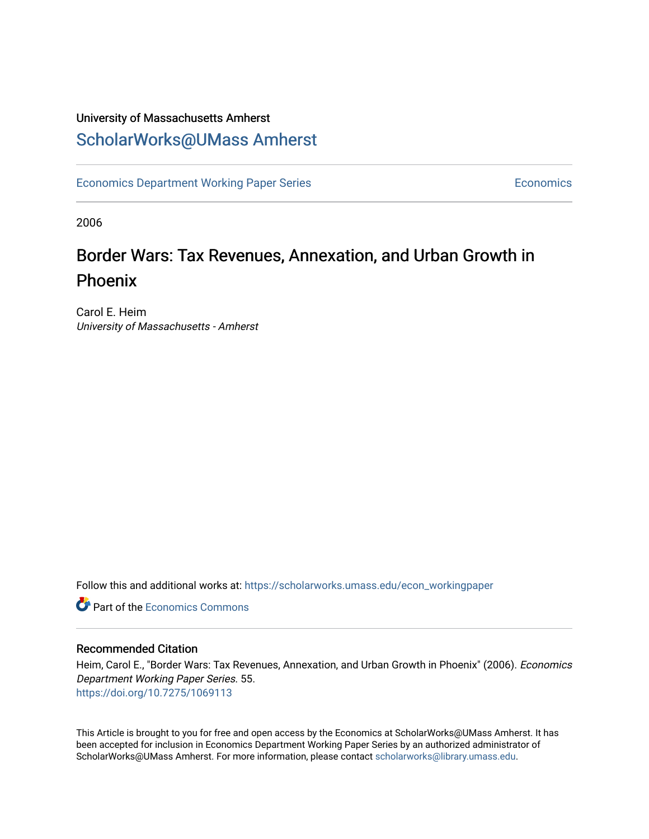### University of Massachusetts Amherst [ScholarWorks@UMass Amherst](https://scholarworks.umass.edu/)

[Economics Department Working Paper Series](https://scholarworks.umass.edu/econ_workingpaper) **Economics** Economics

2006

### Border Wars: Tax Revenues, Annexation, and Urban Growth in Phoenix

Carol E. Heim University of Massachusetts - Amherst

Follow this and additional works at: [https://scholarworks.umass.edu/econ\\_workingpaper](https://scholarworks.umass.edu/econ_workingpaper?utm_source=scholarworks.umass.edu%2Fecon_workingpaper%2F55&utm_medium=PDF&utm_campaign=PDFCoverPages) 

**C** Part of the [Economics Commons](http://network.bepress.com/hgg/discipline/340?utm_source=scholarworks.umass.edu%2Fecon_workingpaper%2F55&utm_medium=PDF&utm_campaign=PDFCoverPages)

#### Recommended Citation

Heim, Carol E., "Border Wars: Tax Revenues, Annexation, and Urban Growth in Phoenix" (2006). Economics Department Working Paper Series. 55. <https://doi.org/10.7275/1069113>

This Article is brought to you for free and open access by the Economics at ScholarWorks@UMass Amherst. It has been accepted for inclusion in Economics Department Working Paper Series by an authorized administrator of ScholarWorks@UMass Amherst. For more information, please contact [scholarworks@library.umass.edu.](mailto:scholarworks@library.umass.edu)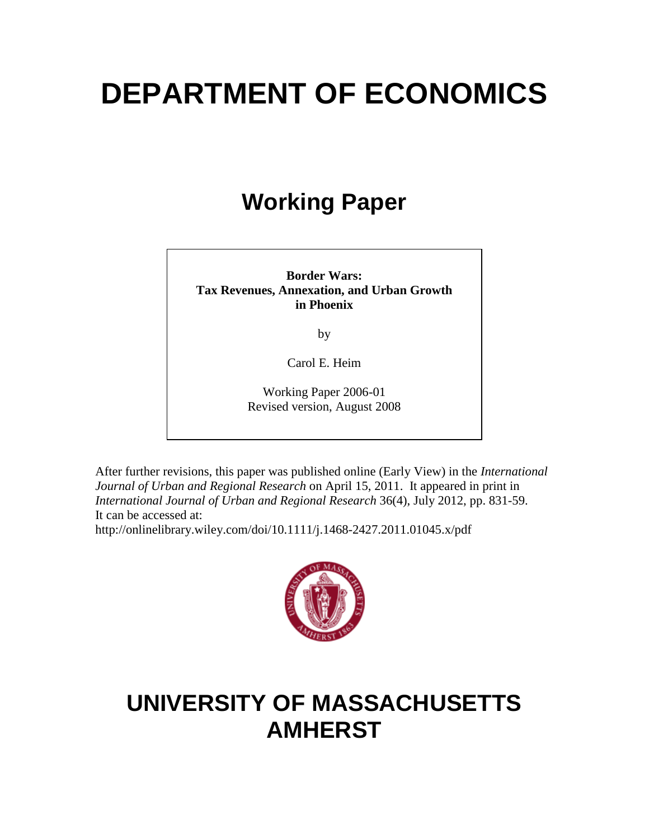# **DEPARTMENT OF ECONOMICS**

# **Working Paper**

**Border Wars: Tax Revenues, Annexation, and Urban Growth in Phoenix**

by

Carol E. Heim

Working Paper 2006-01 Revised version, August 2008

After further revisions, this paper was published online (Early View) in the *International Journal of Urban and Regional Research* on April 15, 2011. It appeared in print in *International Journal of Urban and Regional Research* 36(4), July 2012, pp. 831-59. It can be accessed at:

http://onlinelibrary.wiley.com/doi/10.1111/j.1468-2427.2011.01045.x/pdf



## **UNIVERSITY OF MASSACHUSETTS AMHERST**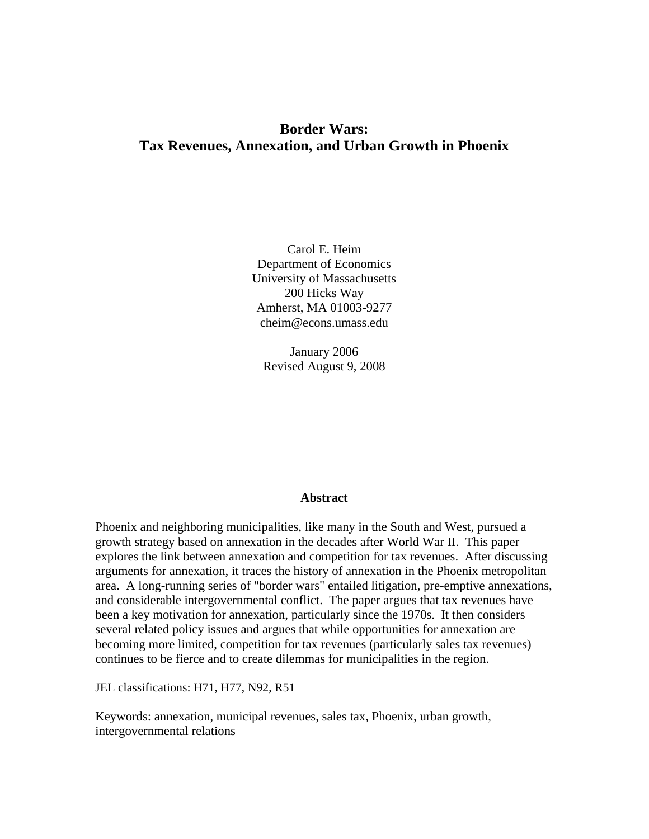#### **Border Wars: Tax Revenues, Annexation, and Urban Growth in Phoenix**

Carol E. Heim Department of Economics University of Massachusetts 200 Hicks Way Amherst, MA 01003-9277 cheim@econs.umass.edu

January 2006 Revised August 9, 2008

#### **Abstract**

Phoenix and neighboring municipalities, like many in the South and West, pursued a growth strategy based on annexation in the decades after World War II. This paper explores the link between annexation and competition for tax revenues. After discussing arguments for annexation, it traces the history of annexation in the Phoenix metropolitan area. A long-running series of "border wars" entailed litigation, pre-emptive annexations, and considerable intergovernmental conflict. The paper argues that tax revenues have been a key motivation for annexation, particularly since the 1970s. It then considers several related policy issues and argues that while opportunities for annexation are becoming more limited, competition for tax revenues (particularly sales tax revenues) continues to be fierce and to create dilemmas for municipalities in the region.

JEL classifications: H71, H77, N92, R51

Keywords: annexation, municipal revenues, sales tax, Phoenix, urban growth, intergovernmental relations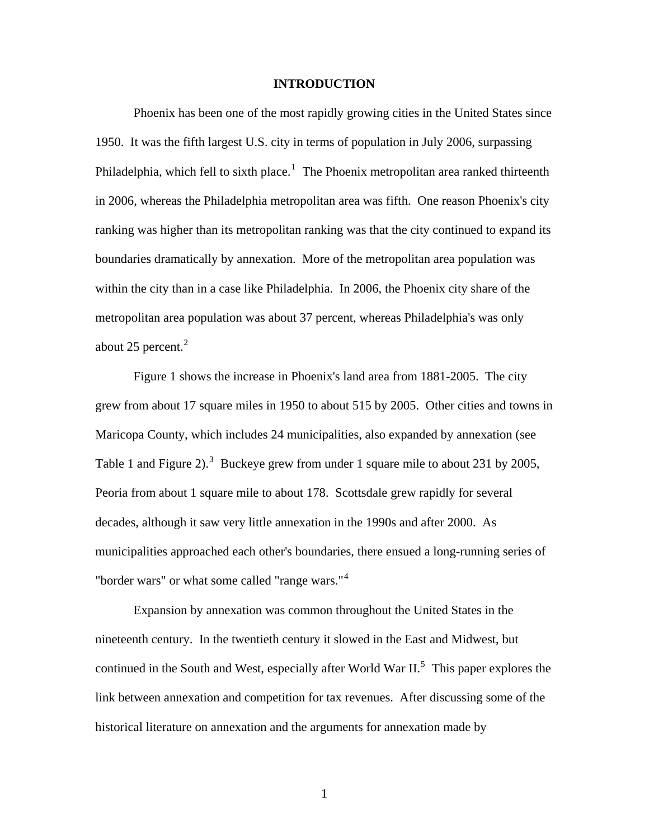#### **INTRODUCTION**

Phoenix has been one of the most rapidly growing cities in the United States since 1950. It was the fifth largest U.S. city in terms of population in July 2006, surpassing Philadelphia, which fell to sixth place.<sup>[1](#page-59-0)</sup> The Phoenix metropolitan area ranked thirteenth in 2006, whereas the Philadelphia metropolitan area was fifth. One reason Phoenix's city ranking was higher than its metropolitan ranking was that the city continued to expand its boundaries dramatically by annexation. More of the metropolitan area population was within the city than in a case like Philadelphia. In 2006, the Phoenix city share of the metropolitan area population was about 37 percent, whereas Philadelphia's was only about [2](#page-59-1)5 percent. $2$ 

 Figure 1 shows the increase in Phoenix's land area from 1881-2005. The city grew from about 17 square miles in 1950 to about 515 by 2005. Other cities and towns in Maricopa County, which includes 24 municipalities, also expanded by annexation (see Table 1 and Figure 2).<sup>[3](#page-59-1)</sup> Buckeye grew from under 1 square mile to about 231 by 2005, Peoria from about 1 square mile to about 178. Scottsdale grew rapidly for several decades, although it saw very little annexation in the 1990s and after 2000. As municipalities approached each other's boundaries, there ensued a long-running series of "border wars" or what some called "range wars."[4](#page-59-1)

 Expansion by annexation was common throughout the United States in the nineteenth century. In the twentieth century it slowed in the East and Midwest, but continued in the South and West, especially after World War  $II$ <sup>[5](#page-59-1)</sup>. This paper explores the link between annexation and competition for tax revenues. After discussing some of the historical literature on annexation and the arguments for annexation made by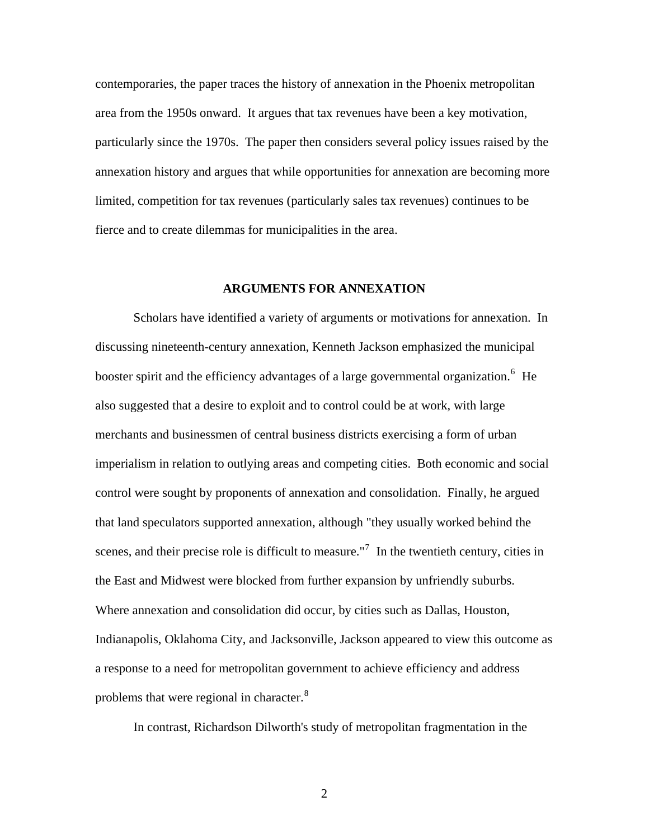contemporaries, the paper traces the history of annexation in the Phoenix metropolitan area from the 1950s onward. It argues that tax revenues have been a key motivation, particularly since the 1970s. The paper then considers several policy issues raised by the annexation history and argues that while opportunities for annexation are becoming more limited, competition for tax revenues (particularly sales tax revenues) continues to be fierce and to create dilemmas for municipalities in the area.

#### **ARGUMENTS FOR ANNEXATION**

 Scholars have identified a variety of arguments or motivations for annexation. In discussing nineteenth-century annexation, Kenneth Jackson emphasized the municipal booster spirit and the efficiency advantages of a large governmental organization.<sup>[6](#page-59-1)</sup> He also suggested that a desire to exploit and to control could be at work, with large merchants and businessmen of central business districts exercising a form of urban imperialism in relation to outlying areas and competing cities. Both economic and social control were sought by proponents of annexation and consolidation. Finally, he argued that land speculators supported annexation, although "they usually worked behind the scenes, and their precise role is difficult to measure."<sup>[7](#page-59-1)</sup> In the twentieth century, cities in the East and Midwest were blocked from further expansion by unfriendly suburbs. Where annexation and consolidation did occur, by cities such as Dallas, Houston, Indianapolis, Oklahoma City, and Jacksonville, Jackson appeared to view this outcome as a response to a need for metropolitan government to achieve efficiency and address problems that were regional in character. $8<sup>8</sup>$  $8<sup>8</sup>$ 

In contrast, Richardson Dilworth's study of metropolitan fragmentation in the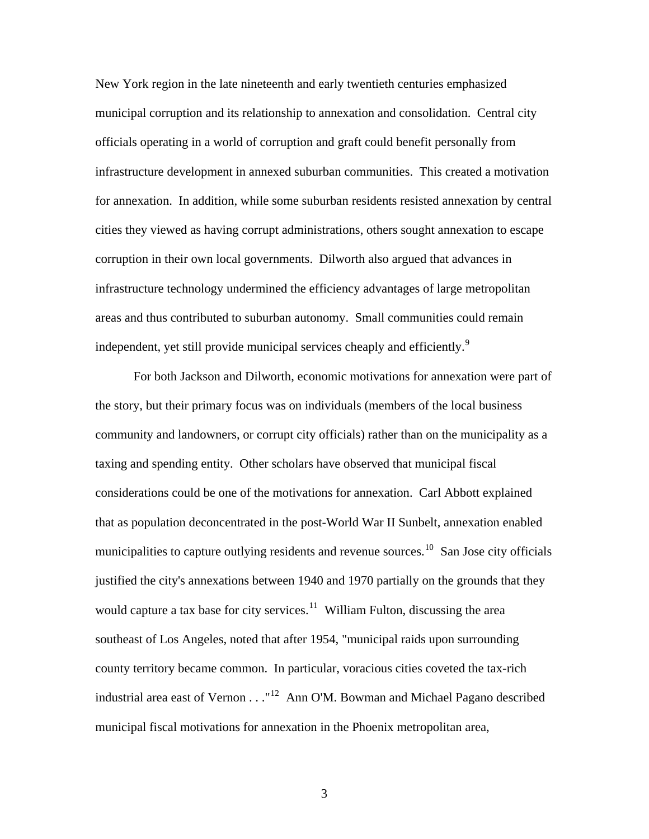New York region in the late nineteenth and early twentieth centuries emphasized municipal corruption and its relationship to annexation and consolidation. Central city officials operating in a world of corruption and graft could benefit personally from infrastructure development in annexed suburban communities. This created a motivation for annexation. In addition, while some suburban residents resisted annexation by central cities they viewed as having corrupt administrations, others sought annexation to escape corruption in their own local governments. Dilworth also argued that advances in infrastructure technology undermined the efficiency advantages of large metropolitan areas and thus contributed to suburban autonomy. Small communities could remain independent, yet still provide municipal services cheaply and efficiently.<sup>[9](#page-59-1)</sup>

 For both Jackson and Dilworth, economic motivations for annexation were part of the story, but their primary focus was on individuals (members of the local business community and landowners, or corrupt city officials) rather than on the municipality as a taxing and spending entity. Other scholars have observed that municipal fiscal considerations could be one of the motivations for annexation. Carl Abbott explained that as population deconcentrated in the post-World War II Sunbelt, annexation enabled municipalities to capture outlying residents and revenue sources.<sup>[10](#page-59-1)</sup> San Jose city officials justified the city's annexations between 1940 and 1970 partially on the grounds that they would capture a tax base for city services.<sup>[11](#page-59-1)</sup> William Fulton, discussing the area southeast of Los Angeles, noted that after 1954, "municipal raids upon surrounding county territory became common. In particular, voracious cities coveted the tax-rich industrial area east of Vernon  $\dots$ <sup>[12](#page-59-1)</sup> Ann O'M. Bowman and Michael Pagano described municipal fiscal motivations for annexation in the Phoenix metropolitan area,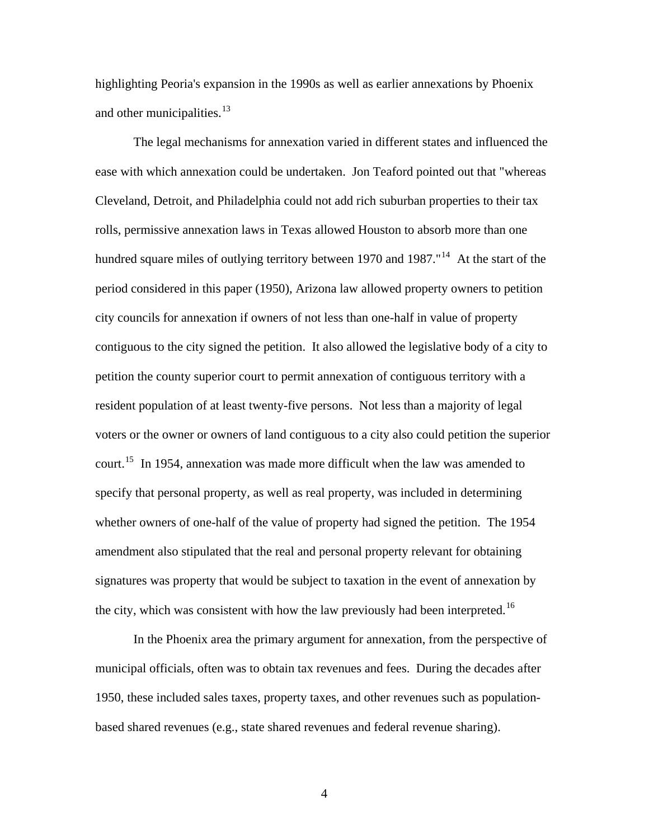highlighting Peoria's expansion in the 1990s as well as earlier annexations by Phoenix and other municipalities.<sup>[13](#page-59-1)</sup>

The legal mechanisms for annexation varied in different states and influenced the ease with which annexation could be undertaken. Jon Teaford pointed out that "whereas Cleveland, Detroit, and Philadelphia could not add rich suburban properties to their tax rolls, permissive annexation laws in Texas allowed Houston to absorb more than one hundred square miles of outlying territory between 1970 and 1987."<sup>[14](#page-59-1)</sup> At the start of the period considered in this paper (1950), Arizona law allowed property owners to petition city councils for annexation if owners of not less than one-half in value of property contiguous to the city signed the petition. It also allowed the legislative body of a city to petition the county superior court to permit annexation of contiguous territory with a resident population of at least twenty-five persons. Not less than a majority of legal voters or the owner or owners of land contiguous to a city also could petition the superior court.<sup>[15](#page-59-1)</sup> In 1954, annexation was made more difficult when the law was amended to specify that personal property, as well as real property, was included in determining whether owners of one-half of the value of property had signed the petition. The 1954 amendment also stipulated that the real and personal property relevant for obtaining signatures was property that would be subject to taxation in the event of annexation by the city, which was consistent with how the law previously had been interpreted.<sup>[16](#page-59-1)</sup>

In the Phoenix area the primary argument for annexation, from the perspective of municipal officials, often was to obtain tax revenues and fees. During the decades after 1950, these included sales taxes, property taxes, and other revenues such as populationbased shared revenues (e.g., state shared revenues and federal revenue sharing).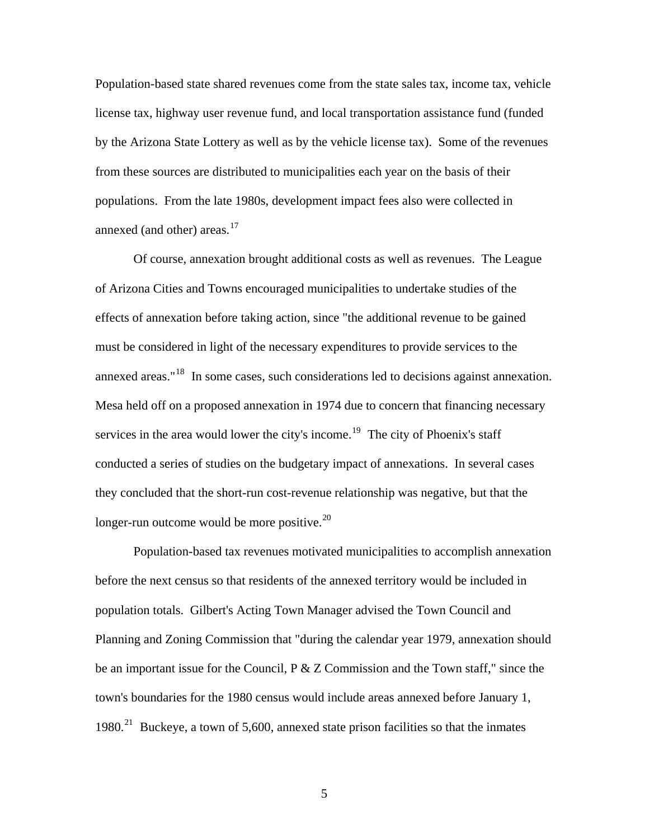Population-based state shared revenues come from the state sales tax, income tax, vehicle license tax, highway user revenue fund, and local transportation assistance fund (funded by the Arizona State Lottery as well as by the vehicle license tax). Some of the revenues from these sources are distributed to municipalities each year on the basis of their populations. From the late 1980s, development impact fees also were collected in annexed (and other) areas. $17$ 

 Of course, annexation brought additional costs as well as revenues. The League of Arizona Cities and Towns encouraged municipalities to undertake studies of the effects of annexation before taking action, since "the additional revenue to be gained must be considered in light of the necessary expenditures to provide services to the annexed areas."[18](#page-59-1) In some cases, such considerations led to decisions against annexation. Mesa held off on a proposed annexation in 1974 due to concern that financing necessary services in the area would lower the city's income.<sup>[19](#page-59-1)</sup> The city of Phoenix's staff conducted a series of studies on the budgetary impact of annexations. In several cases they concluded that the short-run cost-revenue relationship was negative, but that the longer-run outcome would be more positive.<sup>[20](#page-59-1)</sup>

 Population-based tax revenues motivated municipalities to accomplish annexation before the next census so that residents of the annexed territory would be included in population totals. Gilbert's Acting Town Manager advised the Town Council and Planning and Zoning Commission that "during the calendar year 1979, annexation should be an important issue for the Council, P & Z Commission and the Town staff," since the town's boundaries for the 1980 census would include areas annexed before January 1, 1980.<sup>[21](#page-59-1)</sup> Buckeye, a town of 5,600, annexed state prison facilities so that the inmates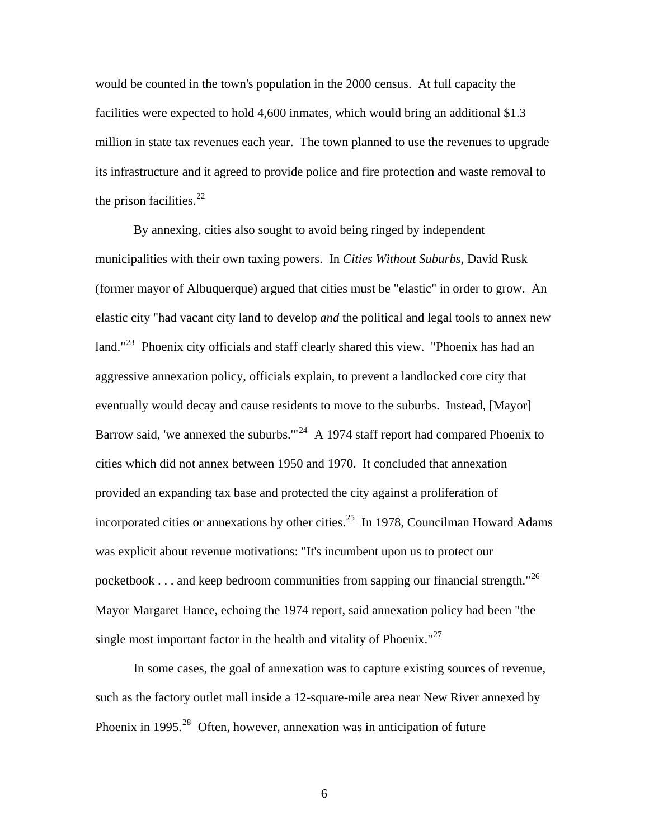would be counted in the town's population in the 2000 census. At full capacity the facilities were expected to hold 4,600 inmates, which would bring an additional \$1.3 million in state tax revenues each year. The town planned to use the revenues to upgrade its infrastructure and it agreed to provide police and fire protection and waste removal to the prison facilities.  $22$ 

 By annexing, cities also sought to avoid being ringed by independent municipalities with their own taxing powers. In *Cities Without Suburbs*, David Rusk (former mayor of Albuquerque) argued that cities must be "elastic" in order to grow. An elastic city "had vacant city land to develop *and* the political and legal tools to annex new land."<sup>[23](#page-59-1)</sup> Phoenix city officials and staff clearly shared this view. "Phoenix has had an aggressive annexation policy, officials explain, to prevent a landlocked core city that eventually would decay and cause residents to move to the suburbs. Instead, [Mayor] Barrow said, 'we annexed the suburbs.'"<sup>[24](#page-59-1)</sup> A 1974 staff report had compared Phoenix to cities which did not annex between 1950 and 1970. It concluded that annexation provided an expanding tax base and protected the city against a proliferation of incorporated cities or annexations by other cities.<sup>[25](#page-59-1)</sup> In 1978, Councilman Howard Adams was explicit about revenue motivations: "It's incumbent upon us to protect our pocketbook . . . and keep bedroom communities from sapping our financial strength."<sup>[26](#page-59-1)</sup> Mayor Margaret Hance, echoing the 1974 report, said annexation policy had been "the single most important factor in the health and vitality of Phoenix." $27$ 

 In some cases, the goal of annexation was to capture existing sources of revenue, such as the factory outlet mall inside a 12-square-mile area near New River annexed by Phoenix in 1995.<sup>[28](#page-59-1)</sup> Often, however, annexation was in anticipation of future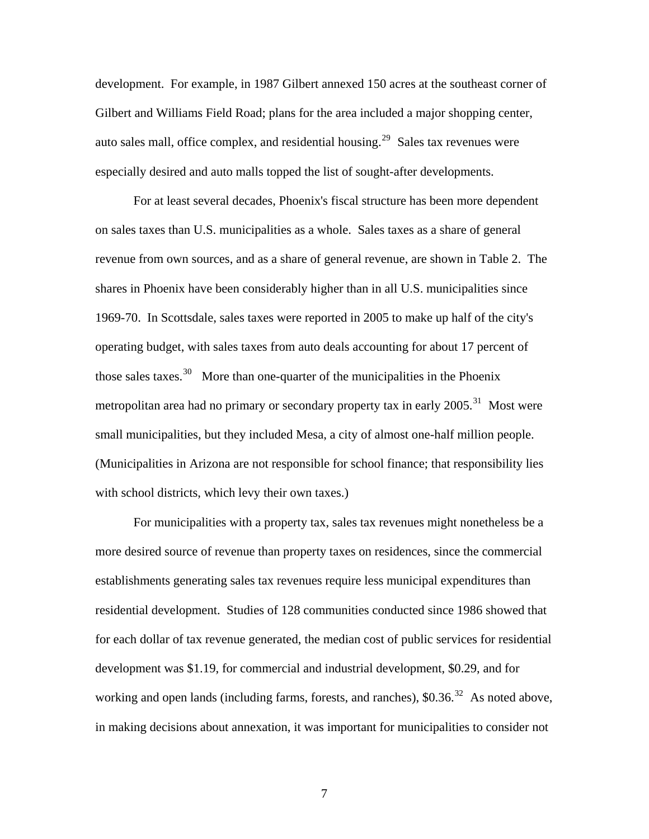development. For example, in 1987 Gilbert annexed 150 acres at the southeast corner of Gilbert and Williams Field Road; plans for the area included a major shopping center, auto sales mall, office complex, and residential housing.<sup>[29](#page-59-1)</sup> Sales tax revenues were especially desired and auto malls topped the list of sought-after developments.

 For at least several decades, Phoenix's fiscal structure has been more dependent on sales taxes than U.S. municipalities as a whole. Sales taxes as a share of general revenue from own sources, and as a share of general revenue, are shown in Table 2. The shares in Phoenix have been considerably higher than in all U.S. municipalities since 1969-70. In Scottsdale, sales taxes were reported in 2005 to make up half of the city's operating budget, with sales taxes from auto deals accounting for about 17 percent of those sales taxes.<sup>[30](#page-59-1)</sup> More than one-quarter of the municipalities in the Phoenix metropolitan area had no primary or secondary property tax in early  $2005$ <sup>[31](#page-59-1)</sup> Most were small municipalities, but they included Mesa, a city of almost one-half million people. (Municipalities in Arizona are not responsible for school finance; that responsibility lies with school districts, which levy their own taxes.)

 For municipalities with a property tax, sales tax revenues might nonetheless be a more desired source of revenue than property taxes on residences, since the commercial establishments generating sales tax revenues require less municipal expenditures than residential development. Studies of 128 communities conducted since 1986 showed that for each dollar of tax revenue generated, the median cost of public services for residential development was \$1.19, for commercial and industrial development, \$0.29, and for working and open lands (including farms, forests, and ranches),  $$0.36$ <sup>[32](#page-59-1)</sup> As noted above, in making decisions about annexation, it was important for municipalities to consider not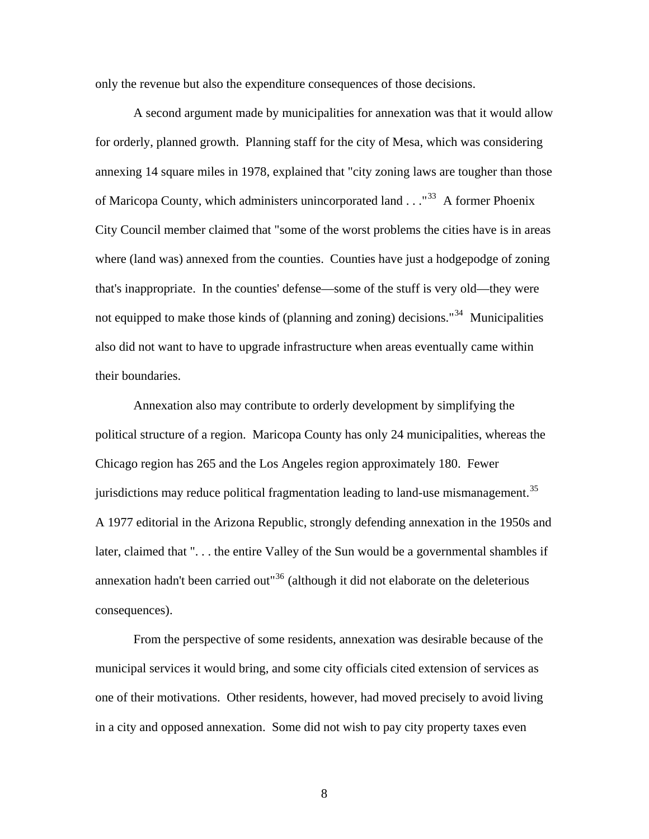only the revenue but also the expenditure consequences of those decisions.

A second argument made by municipalities for annexation was that it would allow for orderly, planned growth. Planning staff for the city of Mesa, which was considering annexing 14 square miles in 1978, explained that "city zoning laws are tougher than those of Maricopa County, which administers unincorporated land  $\ldots$ <sup>[33](#page-59-1)</sup> A former Phoenix City Council member claimed that "some of the worst problems the cities have is in areas where (land was) annexed from the counties. Counties have just a hodgepodge of zoning that's inappropriate. In the counties' defense—some of the stuff is very old—they were not equipped to make those kinds of (planning and zoning) decisions.<sup>"[34](#page-59-1)</sup> Municipalities also did not want to have to upgrade infrastructure when areas eventually came within their boundaries.

 Annexation also may contribute to orderly development by simplifying the political structure of a region. Maricopa County has only 24 municipalities, whereas the Chicago region has 265 and the Los Angeles region approximately 180. Fewer jurisdictions may reduce political fragmentation leading to land-use mismanagement.<sup>[35](#page-59-1)</sup> A 1977 editorial in the Arizona Republic, strongly defending annexation in the 1950s and later, claimed that ". . . the entire Valley of the Sun would be a governmental shambles if annexation hadn't been carried out<sup>[36](#page-59-1)</sup> (although it did not elaborate on the deleterious consequences).

 From the perspective of some residents, annexation was desirable because of the municipal services it would bring, and some city officials cited extension of services as one of their motivations. Other residents, however, had moved precisely to avoid living in a city and opposed annexation. Some did not wish to pay city property taxes even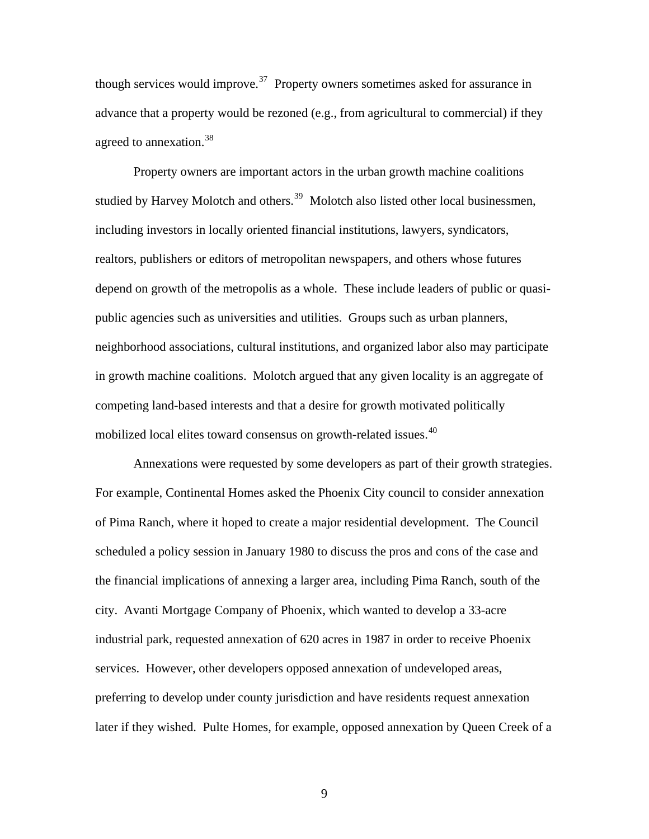though services would improve.<sup>[37](#page-59-1)</sup> Property owners sometimes asked for assurance in advance that a property would be rezoned (e.g., from agricultural to commercial) if they agreed to annexation.<sup>[38](#page-59-1)</sup>

 Property owners are important actors in the urban growth machine coalitions studied by Harvey Molotch and others.<sup>[39](#page-59-1)</sup> Molotch also listed other local businessmen, including investors in locally oriented financial institutions, lawyers, syndicators, realtors, publishers or editors of metropolitan newspapers, and others whose futures depend on growth of the metropolis as a whole. These include leaders of public or quasipublic agencies such as universities and utilities. Groups such as urban planners, neighborhood associations, cultural institutions, and organized labor also may participate in growth machine coalitions. Molotch argued that any given locality is an aggregate of competing land-based interests and that a desire for growth motivated politically mobilized local elites toward consensus on growth-related issues.<sup>[40](#page-59-1)</sup>

Annexations were requested by some developers as part of their growth strategies. For example, Continental Homes asked the Phoenix City council to consider annexation of Pima Ranch, where it hoped to create a major residential development. The Council scheduled a policy session in January 1980 to discuss the pros and cons of the case and the financial implications of annexing a larger area, including Pima Ranch, south of the city. Avanti Mortgage Company of Phoenix, which wanted to develop a 33-acre industrial park, requested annexation of 620 acres in 1987 in order to receive Phoenix services. However, other developers opposed annexation of undeveloped areas, preferring to develop under county jurisdiction and have residents request annexation later if they wished. Pulte Homes, for example, opposed annexation by Queen Creek of a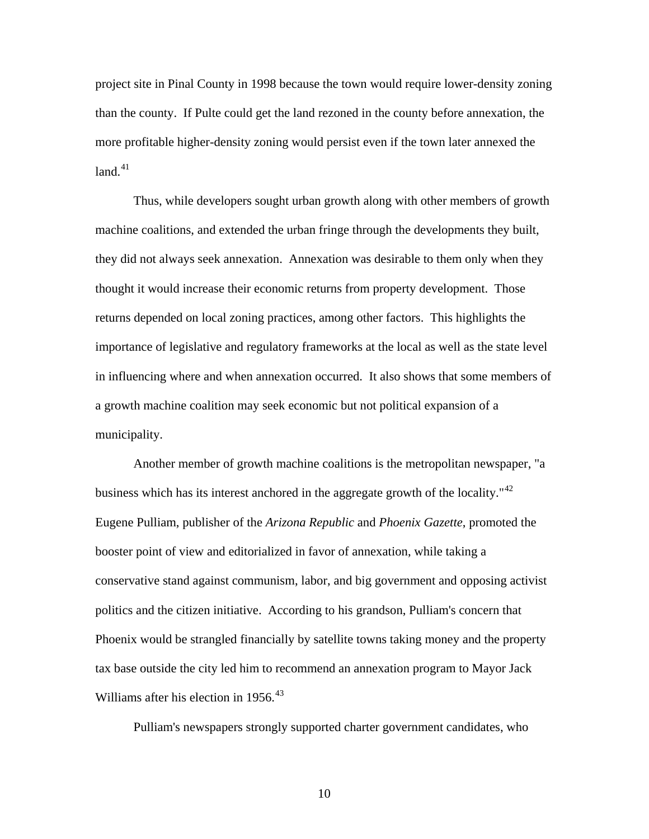project site in Pinal County in 1998 because the town would require lower-density zoning than the county. If Pulte could get the land rezoned in the county before annexation, the more profitable higher-density zoning would persist even if the town later annexed the  $land.<sup>41</sup>$  $land.<sup>41</sup>$  $land.<sup>41</sup>$ 

Thus, while developers sought urban growth along with other members of growth machine coalitions, and extended the urban fringe through the developments they built, they did not always seek annexation. Annexation was desirable to them only when they thought it would increase their economic returns from property development. Those returns depended on local zoning practices, among other factors. This highlights the importance of legislative and regulatory frameworks at the local as well as the state level in influencing where and when annexation occurred. It also shows that some members of a growth machine coalition may seek economic but not political expansion of a municipality.

Another member of growth machine coalitions is the metropolitan newspaper, "a business which has its interest anchored in the aggregate growth of the locality."<sup>[42](#page-59-1)</sup> Eugene Pulliam, publisher of the *Arizona Republic* and *Phoenix Gazette*, promoted the booster point of view and editorialized in favor of annexation, while taking a conservative stand against communism, labor, and big government and opposing activist politics and the citizen initiative. According to his grandson, Pulliam's concern that Phoenix would be strangled financially by satellite towns taking money and the property tax base outside the city led him to recommend an annexation program to Mayor Jack Williams after his election in 1956.<sup>[43](#page-59-1)</sup>

Pulliam's newspapers strongly supported charter government candidates, who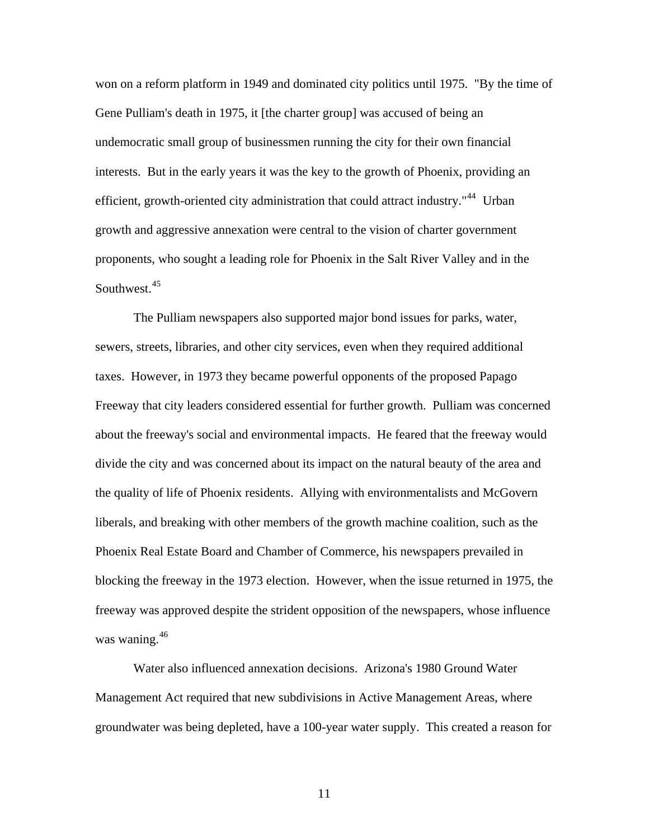won on a reform platform in 1949 and dominated city politics until 1975. "By the time of Gene Pulliam's death in 1975, it [the charter group] was accused of being an undemocratic small group of businessmen running the city for their own financial interests. But in the early years it was the key to the growth of Phoenix, providing an efficient, growth-oriented city administration that could attract industry."<sup>[44](#page-59-1)</sup> Urban growth and aggressive annexation were central to the vision of charter government proponents, who sought a leading role for Phoenix in the Salt River Valley and in the Southwest.<sup>[45](#page-59-1)</sup>

 [The Pulliam newspapers also supported major bond issues for parks, water,](#page-59-1)  [sewers, streets, libraries, and other city services, even when they required additional](#page-59-1) [taxes. However, in 1973 they became powerful opponents of the proposed Papago](#page-59-1)  [Freeway that city leaders considered essential for further growth. Pulliam was concerned](#page-59-1)  [about the freeway's social and environmental impacts. He feared that the freeway would](#page-59-1) [divide the city and was concerned about its impact on the natural beauty of the area and](#page-59-1)  [the quality of life of Phoenix residents. Allying with environmentalists and McGovern](#page-59-1)  [liberals, and breaking with other members of the growth machine coalition, such as th](#page-59-1) e [Phoenix Real Estate Board and Chamber of Commerce, his newspapers prevailed in](#page-59-1)  [blocking the freeway in the 1973 election. However, when the issue returned in 1975, the](#page-59-1)  [freeway was app](#page-59-1) roved despite the strident opposition of the newspapers, whose influence was waning.<sup>[46](#page-59-1)</sup>

groundwater was being depleted, have a 100-year water supply. This created a reason for Water also influenced annexation decisions. Arizona's 1980 Ground Water Management Act required that new subdivisions in Active Management Areas, where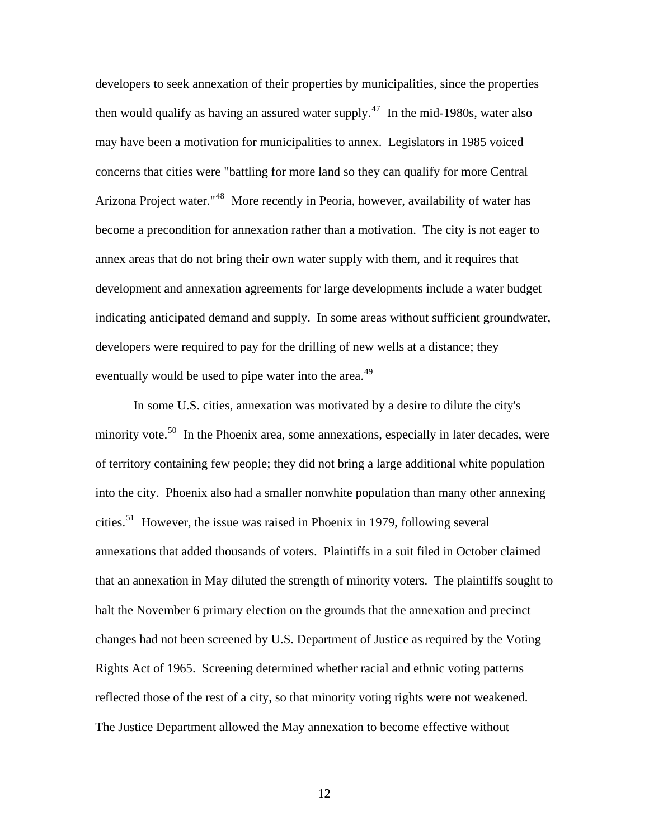developers to seek annexation of their properties by municipalities, since the properties then would qualify as having an assured water supply.<sup>[47](#page-59-1)</sup> In the mid-1980s, water also become a precondition for annexation rather than a motivation. The city is not eager to indicating anticipated demand and supply. In some areas without sufficient groundwater, developers were required to pay for the drilling of new wells at a distance; they may have been a motivation for municipalities to annex. Legislators in 1985 voiced concerns that cities were "battling for more land so they can qualify for more Central Arizona Project water."<sup>[48](#page-59-1)</sup> More recently in Peoria, however, availability of water has annex areas that do not bring their own water supply with them, and it requires that development and annexation agreements for large developments include a water budget eventually would be used to pipe water into the area.<sup>[49](#page-59-1)</sup>

The Justice Department allowed the May annexation to become effective without In some U.S. cities, annexation was motivated by a desire to dilute the city's minority vote.<sup>[50](#page-59-1)</sup> In the Phoenix area, some annexations, especially in later decades, were of territory containing few people; they did not bring a large additional white population into the city. Phoenix also had a smaller nonwhite population than many other annexing cities.[51](#page-59-1) However, the issue was raised in Phoenix in 1979, following several annexations that added thousands of voters. Plaintiffs in a suit filed in October claimed that an annexation in May diluted the strength of minority voters. The plaintiffs sought to halt the November 6 primary election on the grounds that the annexation and precinct changes had not been screened by U.S. Department of Justice as required by the Voting Rights Act of 1965. Screening determined whether racial and ethnic voting patterns reflected those of the rest of a city, so that minority voting rights were not weakened.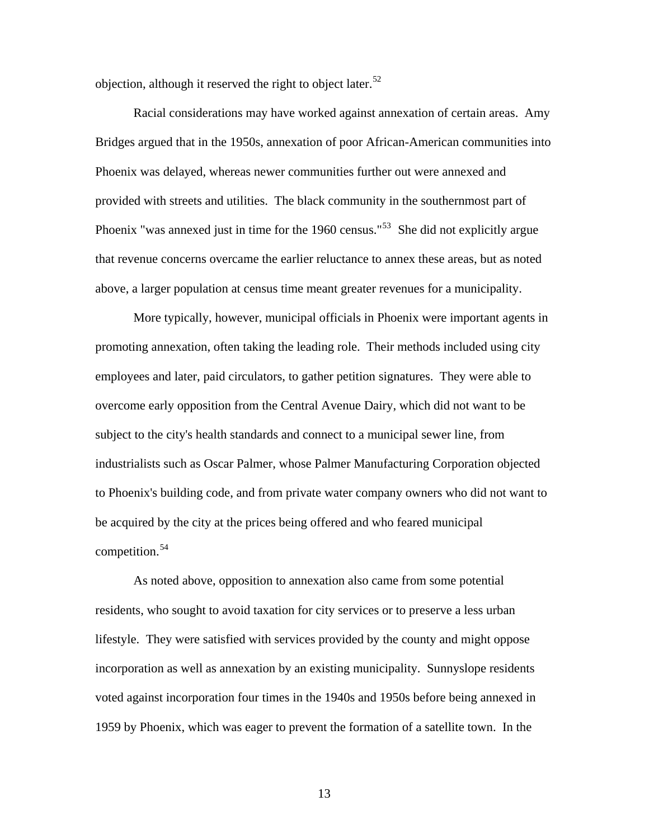objection, although it reserved the right to object later.<sup>[52](#page-59-1)</sup>

[Bridges argued that in the 1950s, annexation of poor African-American communit](#page-59-1)ies into [that revenue concerns overcame the earlier reluctance to annex these areas, but as not](#page-59-1)ed [Racial considerations may have worked against annexation of certain areas. Amy](#page-59-1)  [Phoenix was delayed, whereas newer communities further out were annexed and](#page-59-1)  [provided with streets and utilities. The black community in the southernmost part of](#page-59-1)  [Phoenix "was annexed just in time for the 1960 census."](#page-59-1)<sup>53</sup> She did not explicitly argue above, a larger population at census time meant greater revenues for a municipality.

overcome early opposition from the Central Avenue Dairy, which did not want to be to Phoenix's building code, and from private water company owners who did not want to be acquired by the city at the prices being offered and who feared municipal competition.<sup>[54](#page-59-1)</sup> More typically, however, municipal officials in Phoenix were important agents in promoting annexation, often taking the leading role. Their methods included using city employees and later, paid circulators, to gather petition signatures. They were able to subject to the city's health standards and connect to a municipal sewer line, from industrialists such as Oscar Palmer, whose Palmer Manufacturing Corporation objected

[As noted above, opposition to annexation also came from some potential](#page-59-1)  [residents, who sought to avoid taxation for city services or to preserve a less urban](#page-59-1)  [lifestyle. They were satisfied with services provided by the county and might oppose](#page-59-1)  [incorporation as well as annexation by an existing municipality. Sunnyslope residents](#page-59-1)  [voted against incorporation four times in the 1940s and 1950s before being annexed in](#page-59-1)  [1959 by Phoenix, which was eager to prevent the formation of a satellite town. In the](#page-59-1)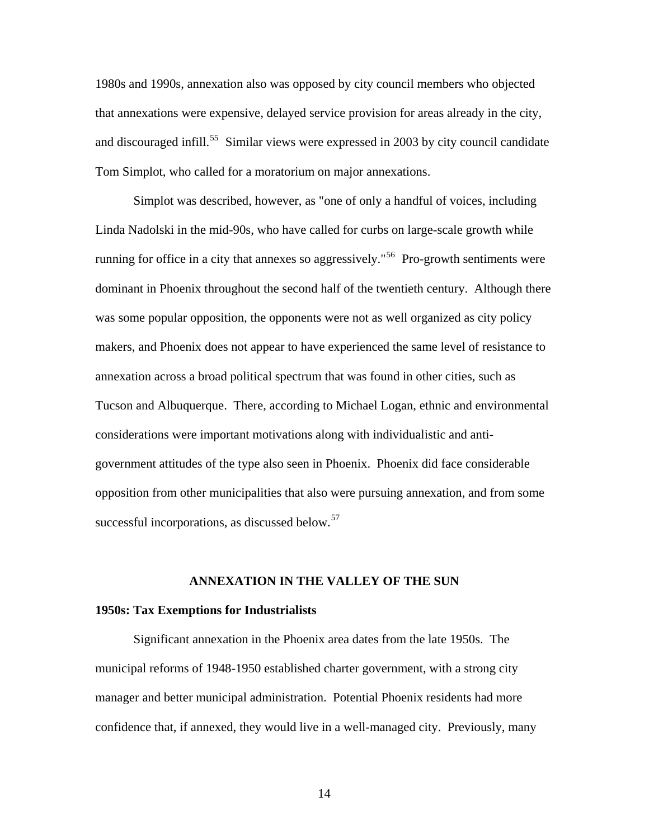[1980s and 1990s, annexation also was opposed by city council members who objected](#page-59-1)  [that annexations were expensive, delayed service provision for areas already in the city,](#page-59-1)  and discouraged infill.<sup>55</sup> Similar views were expressed in 2003 by city council candidate Tom Si mplot, who called for a moratorium on major annexations.

dominant in Phoenix throughout the second half of the twentieth century. Although there makers, and Phoenix does not appear to have experienced the same level of resistance to Tucson and Albuquerque. There, according to Michael Logan, ethnic and environmental opposition from other municipalities that also were pursuing annexation, and from some successful incorporations, as discussed below. $57$ Simplot was described, however, as "one of only a handful of voices, including Linda Nadolski in the mid-90s, who have called for curbs on large-scale growth while running for office in a city that annexes so aggressively."<sup>[56](#page-59-1)</sup> Pro-growth sentiments were was some popular opposition, the opponents were not as well organized as city policy annexation across a broad political spectrum that was found in other cities, such as considerations were important motivations along with individualistic and antigovernment attitudes of the type also seen in Phoenix. Phoenix did face considerable

#### **ANNEXATION IN THE VALLEY OF THE SUN**

#### **1950s: Tax Exemptions for Industrialists**

 Significant annexation in the Phoenix area dates from the late 1950s. The municipal reforms of 1948-1950 established charter government, with a strong city manager and better municipal administration. Potential Phoenix residents had more confidence that, if annexed, they would live in a well-managed city. Previously, many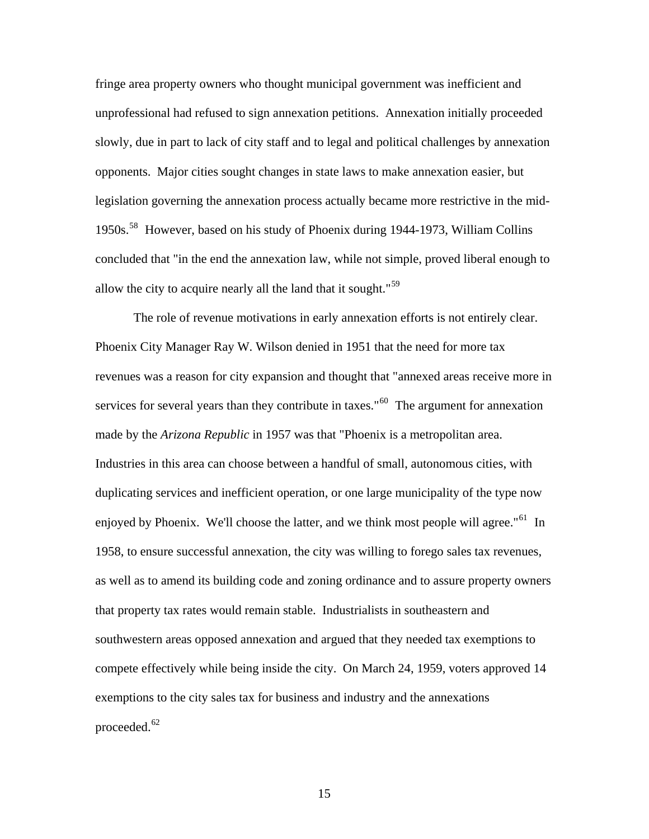fringe area property owners who thought municipal government was inefficient and unprofessional had refused to sign annexation petitions. Annexation initially proceeded slowly, due in part to lack of city staff and to legal and political challenges by annexation opponents. Major cities sought changes in state laws to make annexation easier, but legislation governing the annexation process actually became more restrictive in the mi d-1950s. [58](#page-59-1) However, based on his study of Phoenix during 1944-1973, William Collins concluded that "in the end the annexation law, while not simple, proved liberal enough to allow the city to acquire nearly all the land that it sought."<sup>[59](#page-59-1)</sup>

The role of revenue motivations in early annexation efforts is not entirely clear. [services for several years than they contribute in taxes."](#page-59-1)<sup>60</sup> [The argument for anne](#page-59-1)xation [as well as to amend its building code and zoning ordinance and to assure prope](#page-59-1)rty owners [compete effectively while being inside the city. On March 24, 1959, voters ap](#page-59-1)proved 14 [exemptions to](#page-59-1) the city sales tax for business and industry and the annexations proceeded.<sup>[62](#page-59-1)</sup> [Phoenix City Manager Ray W. Wilson denied in 1951 that the need for more tax](#page-59-1)  [revenues was a reason for city expansion and thought that "annexed areas receive more in](#page-59-1) made by the *Arizona Republic* [in 1957 was that "Phoenix is a metropolitan area.](#page-59-1)  [Industries in this area can choose between a handful of small, autonomous cities, with](#page-59-1)  [duplicating services and inefficient operation, or one large municipality of the type now](#page-59-1)  [enjoyed by Phoenix. We'll choose the latter, and we think most people will agree."](#page-59-1)<sup>61</sup> In [1958, to ensure successful annexation, the city was willing to forego sales tax revenues,](#page-59-1)  [that property tax rates would remain stable. Industrialists in southeastern and](#page-59-1)  [southwestern areas opposed annexation and argued that they needed tax exemptions to](#page-59-1)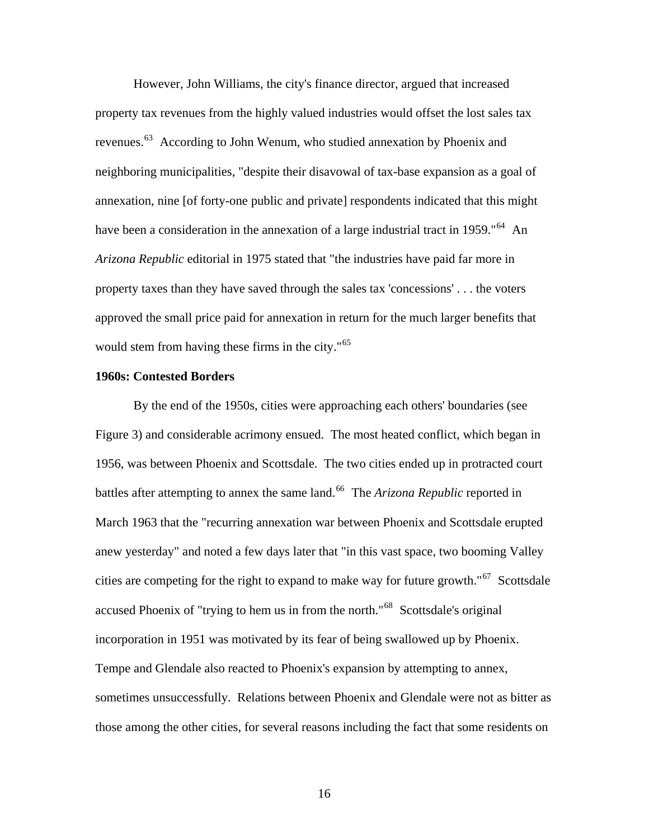[However, John Williams, the city's finance director, argued that increased](#page-59-1)  [property tax revenues from the highly valued industries would offset the lost sales](#page-59-1) tax [revenues.](#page-59-1)<sup>63</sup> According to John Wenum, who studied annexation by Phoenix and [annexation, nine \[of forty-one public and private\] respondents indicated that this migh](#page-59-1)t [have been a consideration in the annexation of a large industrial tract in 1959."](#page-59-1)<sup>64</sup> [A](#page-59-1)n [approved the small price paid for annexation in retu](#page-59-1)rn for the much larger benefits that would stem from having these firms in the city."<sup>65</sup> [neighboring municipalities, "despite their disavowal of tax-base expansion as a goal of](#page-59-1)  *Arizona Republic* [editorial in 1975 stated that "the industries have paid far more in](#page-59-1)  [property taxes than they have saved through the sales tax 'concessions' . . . the voters](#page-59-1) 

#### **1960s: Contested Borders**

1956, was between Phoenix and Scottsdale. The two cities ended up in protracted court cities are competing for the right to expand to make way for future growth." $67$  Scottsdale . incorporation in 1951 was motivated by its fear of being swallowed up by Phoenix those among the other cities, for several reasons including the fact that some residents on By the end of the 1950s, cities were approaching each others' boundaries (see Figure 3) and considerable acrimony ensued. The most heated conflict, which began in battles after attempting to annex the same land.<sup>[66](#page-59-1)</sup> The *Arizona Republic* reported in March 1963 that the "recurring annexation war between Phoenix and Scottsdale erupted anew yesterday" and noted a few days later that "in this vast space, two booming Valley accused Phoenix of "trying to hem us in from the north."[68](#page-59-1) Scottsdale's original Tempe and Glendale also reacted to Phoenix's expansion by attempting to annex, sometimes unsuccessfully. Relations between Phoenix and Glendale were not as bitter as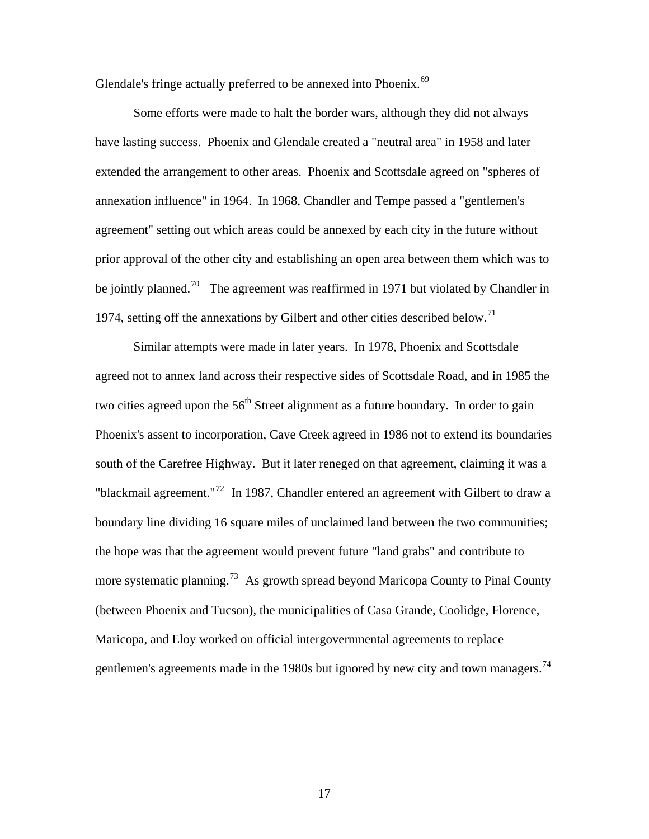Glendale's fringe actually preferred to be annexed into Phoenix.<sup>[69](#page-59-1)</sup>

 [Some efforts were made to halt the border wars, although they did not always](#page-59-1)  [have lasting success. Phoenix and Glendale created a "neutral area" in 1958 and later](#page-59-1)  [extended the arrangement to other areas. Phoenix and Scottsdale agreed on "spheres o](#page-59-1) f [annexation influence" in 1964. In 1968, Chandler and Tempe passed a "gentlemen's](#page-59-1)  [agreement" setting out which areas could be annexed by each city in the future without](#page-59-1)  [prior approval of the other city and establishing an open area between them which was to](#page-59-1)  [be jointly planned.](#page-59-1)<sup>70</sup> [The agreement was reaffirmed in 1971 but violated by Cha](#page-59-1)ndler in 1974, setting off the annexations by Gilbert and other cities described below.<sup>[71](#page-59-1)</sup>

agreed not to annex land across their respective sides of Scottsdale Road, and in 1985 the boundary line dividing 16 square miles of unclaimed land between the two communities; more systematic planning.<sup>[73](#page-59-1)</sup> As growth spread beyond Maricopa County to Pinal County (between Phoenix and Tucson), the municipalities of Casa Grande, Coolidge, Florence, gentlemen's agreements made in the 1980s but ignored by new city and town managers.<sup>74</sup> Similar attempts were made in later years. In 1978, Phoenix and Scottsdale two cities agreed upon the  $56<sup>th</sup>$  Street alignment as a future boundary. In order to gain Phoenix's assent to incorporation, Cave Creek agreed in 1986 not to extend its boundaries south of the Carefree Highway. But it later reneged on that agreement, claiming it was a "blackmail agreement."<sup>[72](#page-59-1)</sup> In 1987, Chandler entered an agreement with Gilbert to draw a the hope was that the agreement would prevent future "land grabs" and contribute to Maricopa, and Eloy worked on official intergovernmental agreements to replace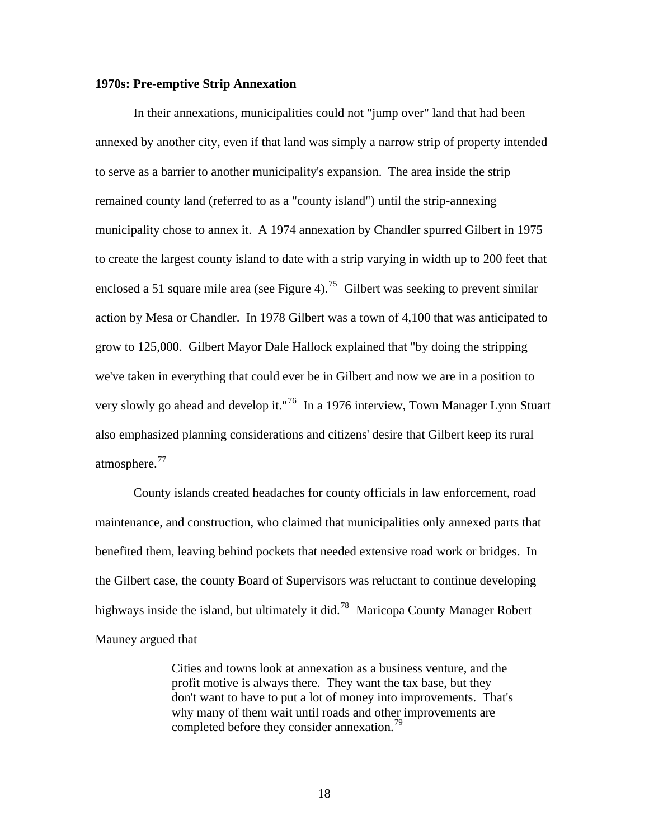#### **1970s: Pre-emptive Strip Annexation**

In their annexations, municipalities could not "jump over" land that had been annexed by another city, even if that land was simply a narrow strip of property int ended to serve as a barrier to another municipality's expansion. The area inside the stri p remained county land (referred to as a "county island") until the strip-annexing municipality chose to annex it. A 1974 annexation by Chandler spurred Gilbert in 1975 to create the largest county island to date with a strip varying in width up to 200 feet tha t enclosed a 51 square mile area (see Figure 4).<sup>[75](#page-59-1)</sup> Gilbert was seeking to prevent similar action by Mesa or Chandler. In 1978 Gilbert was a town of 4,100 that was anticipated to very slowly go ahead and develop it."<sup>[76](#page-59-1)</sup> In a 1976 interview, Town Manager Lynn Stuart also emphasized planning considerations and citizens' desire that Gilbert keep its rural atmosphere.<sup>[77](#page-59-1)</sup> grow to 125,000. Gilbert Mayor Dale Hallock explained that "by doing the stripping we've taken in everything that could ever be in Gilbert and now we are in a position to

[highways inside the i](#page-59-1)sland, but ultimately it did.<sup>78</sup> Maricopa County Manager Robert  [County islands created headaches for county officials in law enforcement, road](#page-59-1)  [maintenance, and construction, who claimed that municipalities only annexed parts that](#page-59-1)  [benefited them, leaving behind pockets that needed extensive road work or bridges. In](#page-59-1)  [the Gilbert case, the county Board of Supervisors was reluctant to continue developing](#page-59-1) Mauney argued that

don't want to have to put a lot of money into improvements. That's why many of them wait until roads and other improvements are completed before they consider annexation.<sup>79</sup> Cities and towns look at annexation as a business venture, and the profit motive is always there. They want the tax base, but they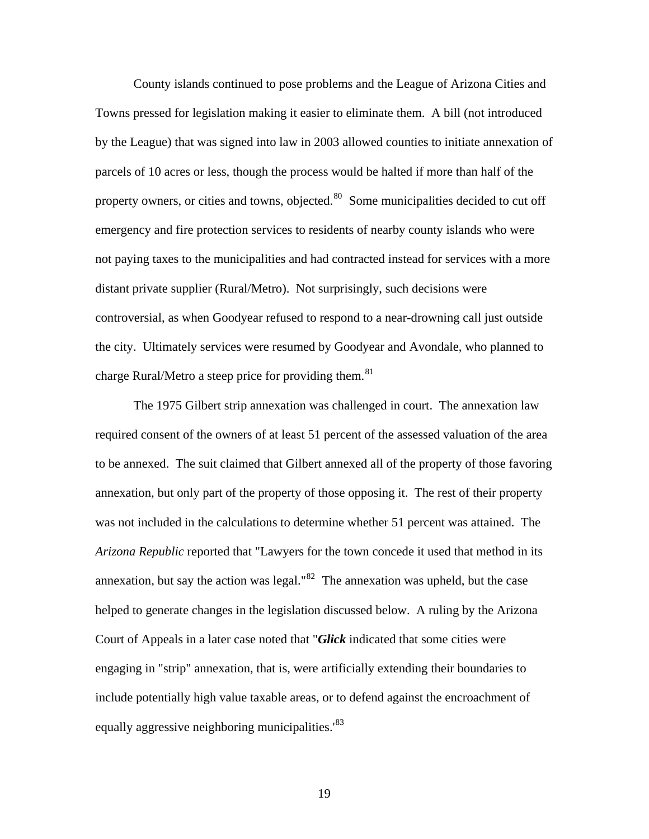County islands continued to pose problems and the League of Arizona Cities and Towns pressed for legislation making it easier to eliminate them. A bill (not introduced by the League) that was signed into law in 2003 allowed counties to initiate annexation of parcels of 10 acres or less, though the process would be halted if more than half of the property owners, or cities and towns, objected.<sup>[80](#page-59-1)</sup> Some municipalities decided to cut off emergency and fire protection services to residents of nearby county islands who were not paying taxes to the municipalities and had contracted instead for services with a more distant private supplier (Rural/Metro). Not surprisingly, such decisions were controversial, as when Goodyear refused to respond to a near-drowning call just outside the city. Ultimately services were resumed by Goodyear and Avondale, who planned to charge Rural/Metro a steep price for providing them.<sup>[81](#page-59-1)</sup>

 The 1975 Gilbert strip annexation was challenged in court. The annexation law required consent of the owners of at least 51 percent of the assessed valuation of the area to be annexed. The suit claimed that Gilbert annexed all of the property of those favoring annexation, but only part of the property of those opposing it. The rest of their property was not included in the calculations to determine whether 51 percent was attained. The *Arizona Republic* reported that "Lawyers for the town concede it used that method in its annexation, but say the action was legal." $^{82}$  $^{82}$  $^{82}$  The annexation was upheld, but the case helped to generate changes in the legislation discussed below. A ruling by the Arizona Court of Appeals in a later case noted that "*Glick* indicated that some cities were engaging in "strip" annexation, that is, were artificially extending their boundaries to include potentially high value taxable areas, or to defend against the encroachment of equally aggressive neighboring municipalities.<sup>[83](#page-59-1)</sup>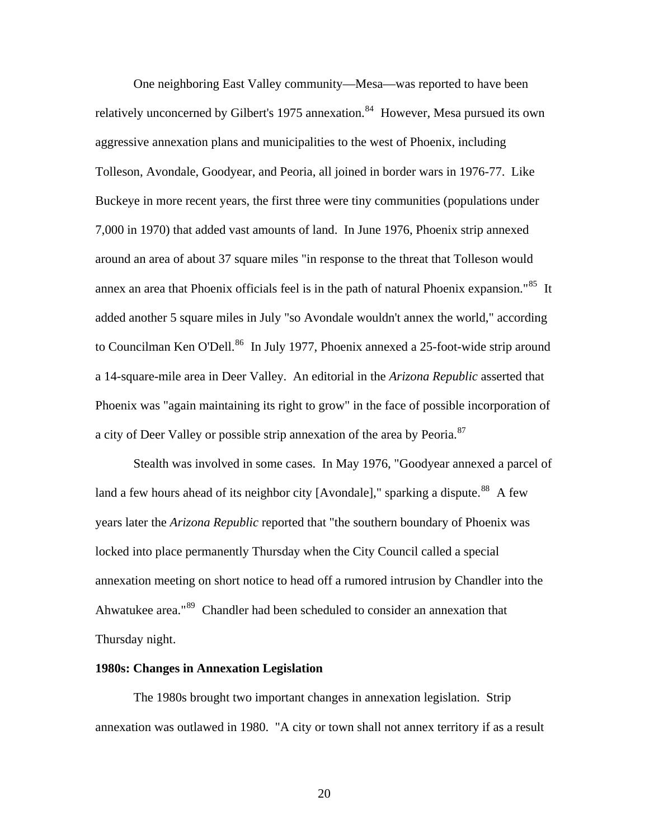One neighboring East Valley community—Mesa—was reported to have been relatively unconcerned by Gilbert's 1975 annexation.<sup>[84](#page-59-1)</sup> However, Mesa pursued its own aggressive annexation plans and municipalities to the west of Phoenix, including Tolleson, Avondale, Goodyear, and Peoria, all joined in border wars in 1976-77. Like Buckeye in more recent years, the first three were tiny communities (populations under 7,000 in 1970) that added vast amounts of land. In June 1976, Phoenix strip annexed around an area of about 37 square miles "in response to the threat that Tolleson would annex an area that Phoenix officials feel is in the path of natural Phoenix expansion."<sup>[85](#page-59-1)</sup> It added another 5 square miles in July "so Avondale wouldn't annex the world," according to Councilman Ken O'Dell.<sup>[86](#page-59-1)</sup> In July 1977, Phoenix annexed a 25-foot-wide strip around a 14-square-mile area in Deer Valley. An editorial in the *Arizona Republic* asserted that Phoenix was "again maintaining its right to grow" in the face of possible incorporation of a city of Deer Valley or possible strip annexation of the area by Peoria.<sup>[87](#page-59-1)</sup>

 Stealth was involved in some cases. In May 1976, "Goodyear annexed a parcel of land a few hours ahead of its neighbor city [Avondale]," sparking a dispute.<sup>[88](#page-59-1)</sup> A few years later the *Arizona Republic* reported that "the southern boundary of Phoenix was locked into place permanently Thursday when the City Council called a special annexation meeting on short notice to head off a rumored intrusion by Chandler into the Ahwatukee area."[89](#page-59-1) Chandler had been scheduled to consider an annexation that Thursday night.

#### **1980s: Changes in Annexation Legislation**

 The 1980s brought two important changes in annexation legislation. Strip annexation was outlawed in 1980. "A city or town shall not annex territory if as a result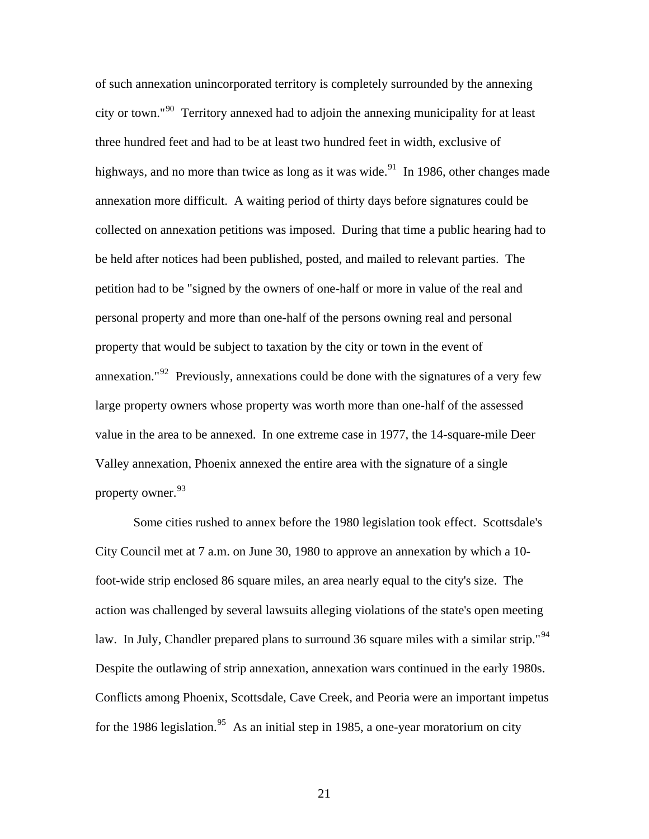of such annexation unincorporated territory is completely surrounded by the annexing city or town."[90](#page-59-1) Territory annexed had to adjoin the annexing municipality for at least three hundred feet and had to be at least two hundred feet in width, exclusive of highways, and no more than twice as long as it was wide. $91$  In 1986, other changes made annexation more difficult. A waiting period of thirty days before signatures could be collected on annexation petitions was imposed. During that time a public hearing had to be held after notices had been published, posted, and mailed to relevant parties. The petition had to be "signed by the owners of one-half or more in value of the real and personal property and more than one-half of the persons owning real and personal property that would be subject to taxation by the city or town in the event of annexation."[92](#page-59-1) Previously, annexations could be done with the signatures of a very few large property owners whose property was worth more than one-half of the assessed value in the area to be annexed. In one extreme case in 1977, the 14-square-mile Deer Valley annexation, Phoenix annexed the entire area with the signature of a single property owner.<sup>[93](#page-59-1)</sup>

Some cities rushed to annex before the 1980 legislation took effect. Scottsdale's City Council met at 7 a.m. on June 30, 1980 to approve an annexation by which a 10 foot-wide strip enclosed 86 square miles, an area nearly equal to the city's size. The action was challenged by several lawsuits alleging violations of the state's open meeting law. In July, Chandler prepared plans to surround 36 square miles with a similar strip."<sup>[94](#page-59-1)</sup> Despite the outlawing of strip annexation, annexation wars continued in the early 1980s. Conflicts among Phoenix, Scottsdale, Cave Creek, and Peoria were an important impetus for the 1986 legislation.<sup>[95](#page-59-1)</sup> As an initial step in 1985, a one-year moratorium on city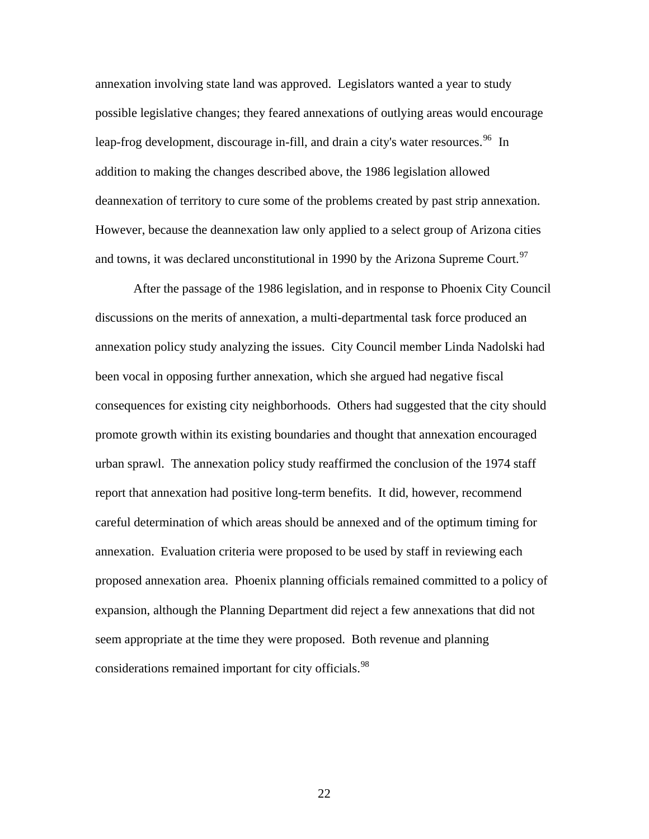annexation involving state land was approved. Legislators wanted a year to study possible legislative changes; they feared annexations of outlying areas would encourage leap-frog development, discourage in-fill, and drain a city's water resources.  $^{96}$  $^{96}$  $^{96}$  In addition to making the changes described above, the 1986 legislation allowed deannexation of territory to cure some of the problems created by past strip annexation. However, because the deannexation law only applied to a select group of Arizona cities and towns, it was declared unconstitutional in 1990 by the Arizona Supreme Court.<sup>97</sup>

 After the passage of the 1986 legislation, and in response to Phoenix City Council discussions on the merits of annexation, a multi-departmental task force produced an annexation policy study analyzing the issues. City Council member Linda Nadolski had been vocal in opposing further annexation, which she argued had negative fiscal consequences for existing city neighborhoods. Others had suggested that the city should promote growth within its existing boundaries and thought that annexation encouraged urban sprawl. The annexation policy study reaffirmed the conclusion of the 1974 staff report that annexation had positive long-term benefits. It did, however, recommend careful determination of which areas should be annexed and of the optimum timing for annexation. Evaluation criteria were proposed to be used by staff in reviewing each proposed annexation area. Phoenix planning officials remained committed to a policy of expansion, although the Planning Department did reject a few annexations that did not seem appropriate at the time they were proposed. Both revenue and planning considerations remained important for city officials.<sup>[98](#page-59-1)</sup>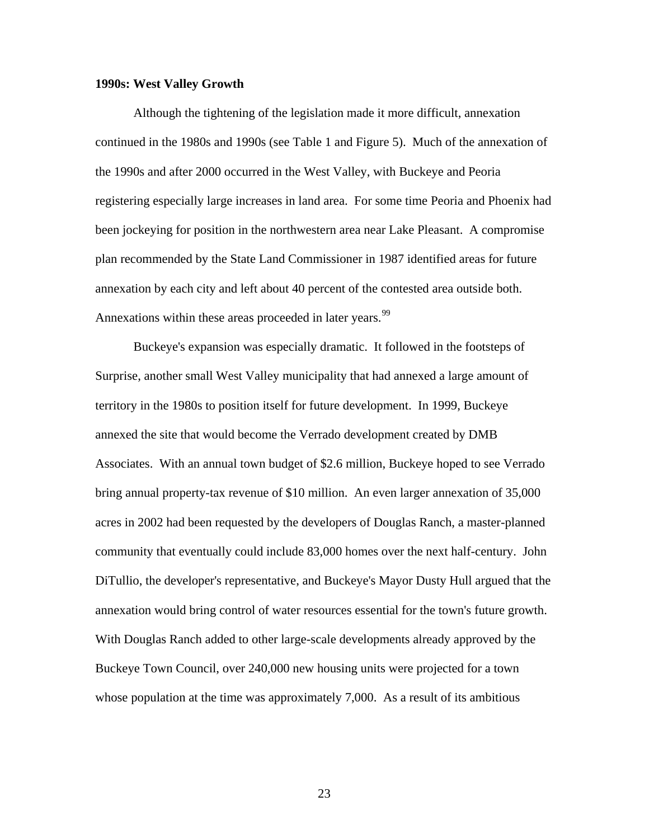#### **1990s: West Valley Growth**

 Although the tightening of the legislation made it more difficult, annexation continued in the 1980s and 1990s (see Table 1 and Figure 5). Much of the annexation of the 1990s and after 2000 occurred in the West Valley, with Buckeye and Peoria registering especially large increases in land area. For some time Peoria and Phoenix had been jockeying for position in the northwestern area near Lake Pleasant. A compromise plan recommended by the State Land Commissioner in 1987 identified areas for future annexation by each city and left about 40 percent of the contested area outside both. Annexations within these areas proceeded in later years.<sup>[99](#page-59-1)</sup>

 Buckeye's expansion was especially dramatic. It followed in the footsteps of Surprise, another small West Valley municipality that had annexed a large amount of territory in the 1980s to position itself for future development. In 1999, Buckeye annexed the site that would become the Verrado development created by DMB Associates. With an annual town budget of \$2.6 million, Buckeye hoped to see Verrado bring annual property-tax revenue of \$10 million. An even larger annexation of 35,000 acres in 2002 had been requested by the developers of Douglas Ranch, a master-planned community that eventually could include 83,000 homes over the next half-century. John DiTullio, the developer's representative, and Buckeye's Mayor Dusty Hull argued that the annexation would bring control of water resources essential for the town's future growth. With Douglas Ranch added to other large-scale developments already approved by the Buckeye Town Council, over 240,000 new housing units were projected for a town whose population at the time was approximately 7,000. As a result of its ambitious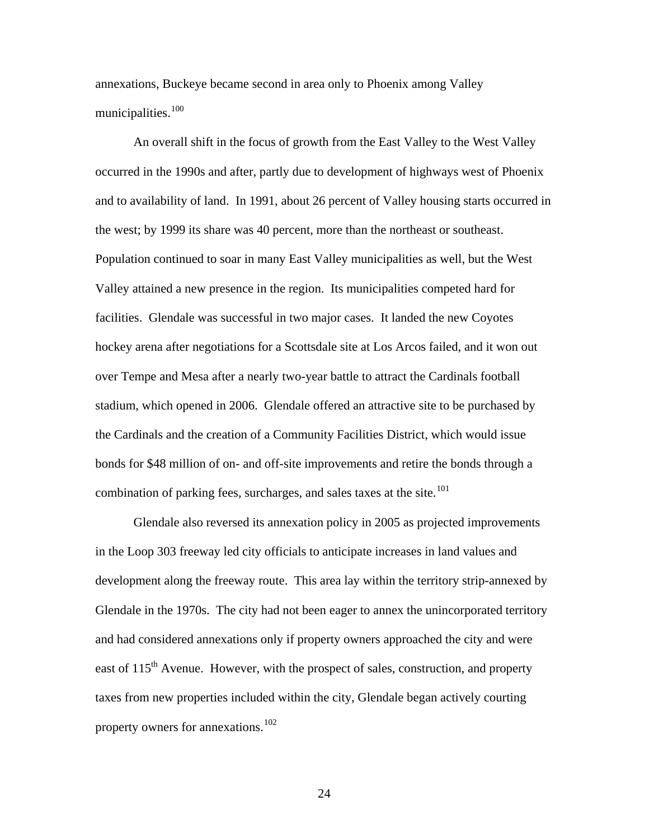annexations, Buckeye became second in area only to Phoenix among Valley municipalities.[100](#page-59-1)

 An overall shift in the focus of growth from the East Valley to the West Valley occurred in the 1990s and after, partly due to development of highways west of Phoenix and to availability of land. In 1991, about 26 percent of Valley housing starts occurred in the west; by 1999 its share was 40 percent, more than the northeast or southeast. Population continued to soar in many East Valley municipalities as well, but the West Valley attained a new presence in the region. Its municipalities competed hard for facilities. Glendale was successful in two major cases. It landed the new Coyotes hockey arena after negotiations for a Scottsdale site at Los Arcos failed, and it won out over Tempe and Mesa after a nearly two-year battle to attract the Cardinals football stadium, which opened in 2006. Glendale offered an attractive site to be purchased by the Cardinals and the creation of a Community Facilities District, which would issue bonds for \$48 million of on- and off-site improvements and retire the bonds through a combination of parking fees, surcharges, and sales taxes at the site.<sup>[101](#page-59-1)</sup>

 Glendale also reversed its annexation policy in 2005 as projected improvements in the Loop 303 freeway led city officials to anticipate increases in land values and development along the freeway route. This area lay within the territory strip-annexed by Glendale in the 1970s. The city had not been eager to annex the unincorporated territory and had considered annexations only if property owners approached the city and were east of 115<sup>th</sup> Avenue. However, with the prospect of sales, construction, and property taxes from new properties included within the city, Glendale began actively courting property owners for annexations.<sup>[102](#page-59-1)</sup>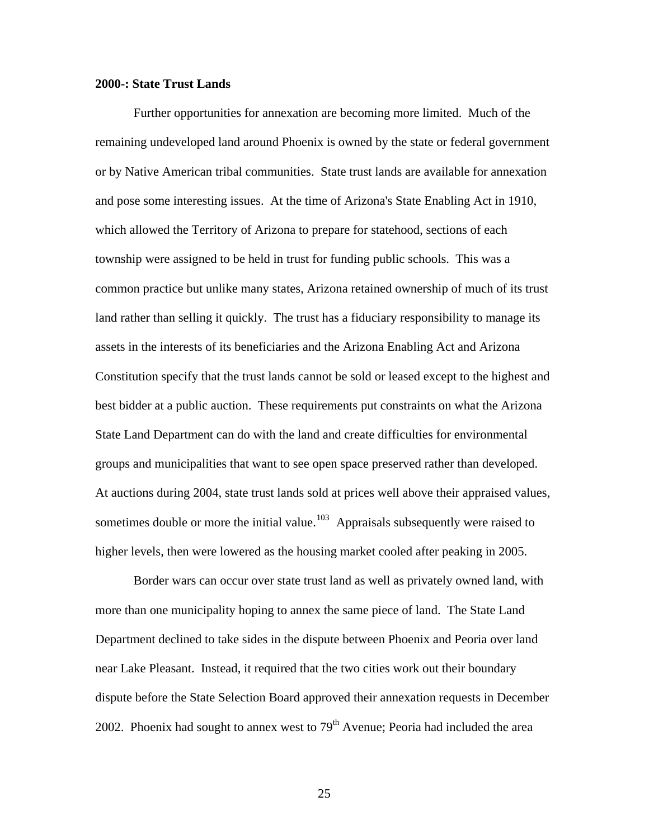#### **2000-: State Trust Lands**

 Further opportunities for annexation are becoming more limited. Much of the remaining undeveloped land around Phoenix is owned by the state or federal government or by Native American tribal communities. State trust lands are available for annexation and pose some interesting issues. At the time of Arizona's State Enabling Act in 1910, which allowed the Territory of Arizona to prepare for statehood, sections of each township were assigned to be held in trust for funding public schools. This was a common practice but unlike many states, Arizona retained ownership of much of its trust land rather than selling it quickly. The trust has a fiduciary responsibility to manage its assets in the interests of its beneficiaries and the Arizona Enabling Act and Arizona Constitution specify that the trust lands cannot be sold or leased except to the highest and best bidder at a public auction. These requirements put constraints on what the Arizona State Land Department can do with the land and create difficulties for environmental groups and municipalities that want to see open space preserved rather than developed. At auctions during 2004, state trust lands sold at prices well above their appraised values, sometimes double or more the initial value.<sup>[103](#page-59-1)</sup> Appraisals subsequently were raised to higher levels, then were lowered as the housing market cooled after peaking in 2005.

 Border wars can occur over state trust land as well as privately owned land, with more than one municipality hoping to annex the same piece of land. The State Land Department declined to take sides in the dispute between Phoenix and Peoria over land near Lake Pleasant. Instead, it required that the two cities work out their boundary dispute before the State Selection Board approved their annexation requests in December 2002. Phoenix had sought to annex west to  $79<sup>th</sup>$  Avenue; Peoria had included the area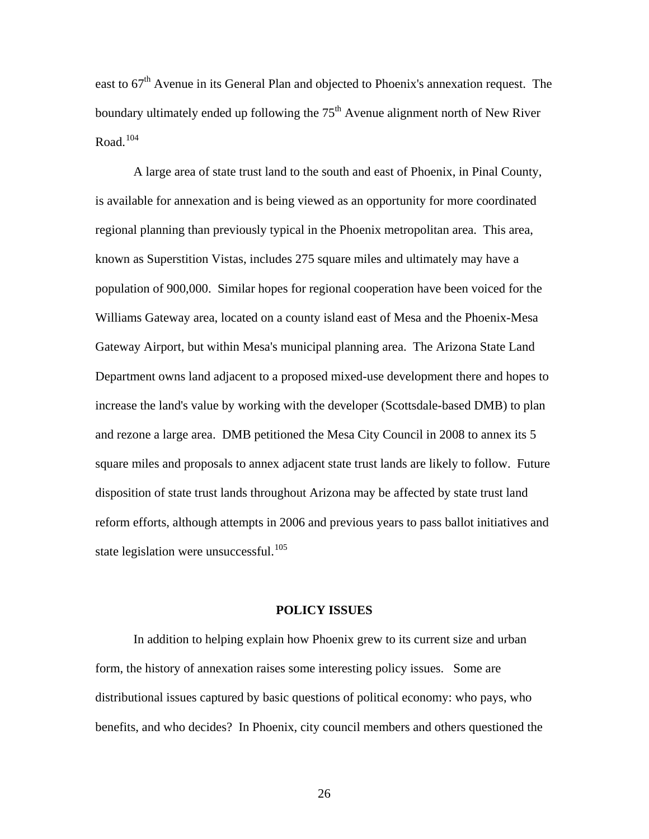east to  $67<sup>th</sup>$  Avenue in its General Plan and objected to Phoenix's annexation request. The boundary ultimately ended up following the  $75<sup>th</sup>$  Avenue alignment north of New River Road. $104$ 

 A large area of state trust land to the south and east of Phoenix, in Pinal County, is available for annexation and is being viewed as an opportunity for more coordinated regional planning than previously typical in the Phoenix metropolitan area. This area, known as Superstition Vistas, includes 275 square miles and ultimately may have a population of 900,000. Similar hopes for regional cooperation have been voiced for the Williams Gateway area, located on a county island east of Mesa and the Phoenix-Mesa Gateway Airport, but within Mesa's municipal planning area. The Arizona State Land Department owns land adjacent to a proposed mixed-use development there and hopes to increase the land's value by working with the developer (Scottsdale-based DMB) to plan and rezone a large area. DMB petitioned the Mesa City Council in 2008 to annex its 5 square miles and proposals to annex adjacent state trust lands are likely to follow. Future disposition of state trust lands throughout Arizona may be affected by state trust land reform efforts, although attempts in 2006 and previous years to pass ballot initiatives and state legislation were unsuccessful.<sup>[105](#page-59-1)</sup>

#### **POLICY ISSUES**

In addition to helping explain how Phoenix grew to its current size and urban form, the history of annexation raises some interesting policy issues. Some are distributional issues captured by basic questions of political economy: who pays, who benefits, and who decides? In Phoenix, city council members and others questioned the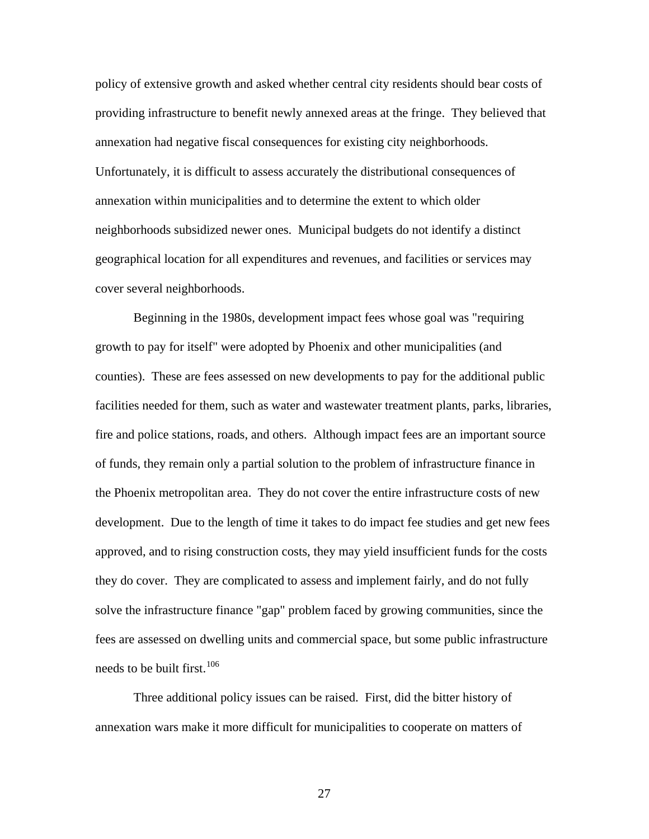policy of extensive growth and asked whether central city residents should bear costs of providing infrastructure to benefit newly annexed areas at the fringe. They believed that annexation had negative fiscal consequences for existing city neighborhoods. Unfortunately, it is difficult to assess accurately the distributional consequences of annexation within municipalities and to determine the extent to which older neighborhoods subsidized newer ones. Municipal budgets do not identify a distinct geographical location for all expenditures and revenues, and facilities or services may cover several neighborhoods.

Beginning in the 1980s, development impact fees whose goal was "requiring growth to pay for itself" were adopted by Phoenix and other municipalities (and counties). These are fees assessed on new developments to pay for the additional public facilities needed for them, such as water and wastewater treatment plants, parks, libraries, fire and police stations, roads, and others. Although impact fees are an important source of funds, they remain only a partial solution to the problem of infrastructure finance in the Phoenix metropolitan area. They do not cover the entire infrastructure costs of new development. Due to the length of time it takes to do impact fee studies and get new fees approved, and to rising construction costs, they may yield insufficient funds for the costs they do cover. They are complicated to assess and implement fairly, and do not fully solve the infrastructure finance "gap" problem faced by growing communities, since the fees are assessed on dwelling units and commercial space, but some public infrastructure needs to be built first.  $106$ 

Three additional policy issues can be raised. First, did the bitter history of annexation wars make it more difficult for municipalities to cooperate on matters of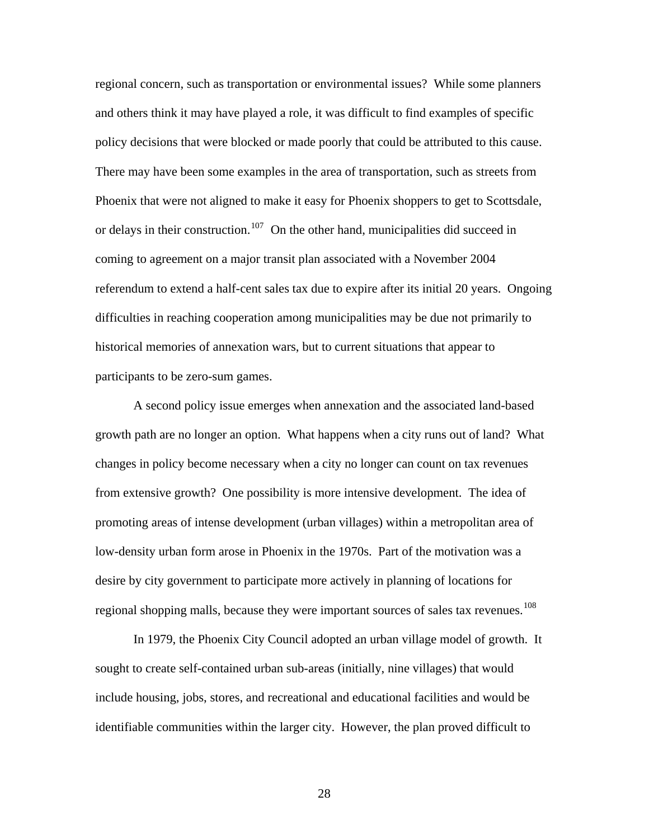regional concern, such as transportation or environmental issues? While some planners and others think it may have played a role, it was difficult to find examples of specific policy decisions that were blocked or made poorly that could be attributed to this cause. There may have been some examples in the area of transportation, such as streets from Phoenix that were not aligned to make it easy for Phoenix shoppers to get to Scottsdale, or delays in their construction.<sup>[107](#page-59-1)</sup> On the other hand, municipalities did succeed in coming to agreement on a major transit plan associated with a November 2004 referendum to extend a half-cent sales tax due to expire after its initial 20 years. Ongoing difficulties in reaching cooperation among municipalities may be due not primarily to historical memories of annexation wars, but to current situations that appear to participants to be zero-sum games.

 A second policy issue emerges when annexation and the associated land-based growth path are no longer an option. What happens when a city runs out of land? What changes in policy become necessary when a city no longer can count on tax revenues from extensive growth? One possibility is more intensive development. The idea of promoting areas of intense development (urban villages) within a metropolitan area of low-density urban form arose in Phoenix in the 1970s. Part of the motivation was a desire by city government to participate more actively in planning of locations for regional shopping malls, because they were important sources of sales tax revenues.<sup>[108](#page-59-1)</sup>

In 1979, the Phoenix City Council adopted an urban village model of growth. It sought to create self-contained urban sub-areas (initially, nine villages) that would include housing, jobs, stores, and recreational and educational facilities and would be identifiable communities within the larger city. However, the plan proved difficult to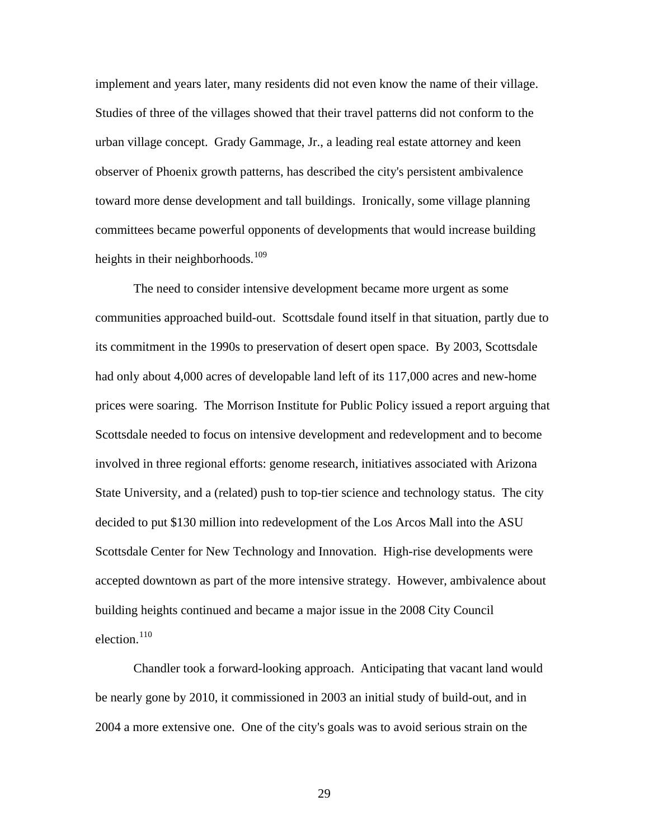implement and years later, many residents did not even know the name of their village. Studies of three of the villages showed that their travel patterns did not conform to the urban village concept. Grady Gammage, Jr., a leading real estate attorney and keen observer of Phoenix growth patterns, has described the city's persistent ambivalence toward more dense development and tall buildings. Ironically, some village planning committees became powerful opponents of developments that would increase building heights in their neighborhoods.<sup>[109](#page-59-1)</sup>

The need to consider intensive development became more urgent as some communities approached build-out. Scottsdale found itself in that situation, partly due to its commitment in the 1990s to preservation of desert open space. By 2003, Scottsdale had only about 4,000 acres of developable land left of its 117,000 acres and new-home prices were soaring. The Morrison Institute for Public Policy issued a report arguing that Scottsdale needed to focus on intensive development and redevelopment and to become involved in three regional efforts: genome research, initiatives associated with Arizona State University, and a (related) push to top-tier science and technology status. The city decided to put \$130 million into redevelopment of the Los Arcos Mall into the ASU Scottsdale Center for New Technology and Innovation. High-rise developments were accepted downtown as part of the more intensive strategy. However, ambivalence about building heights continued and became a major issue in the 2008 City Council election. $110$ 

 [Chandler took a forward-looking approach. Anticipating that vacant land wou](#page-59-1) ld [be nearly gone by 2010, it commissioned in 2003 an initial study of build-out, and in](#page-59-1)  [2004 a more extensive one. One of the city's goals was to avoid serious strain on](#page-59-1)  the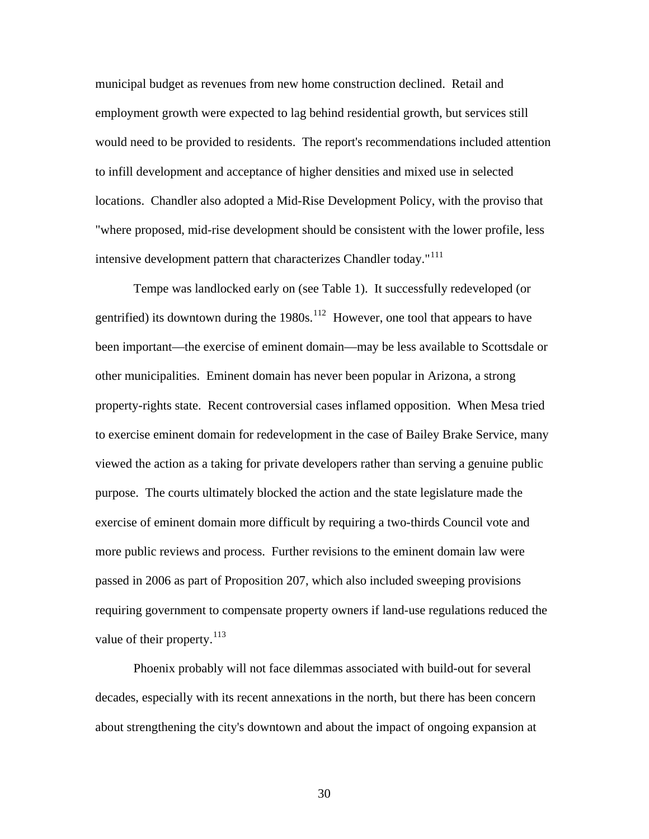[municipal budget as revenues from new home construction declined. Retail and](#page-59-1)  [employment growth were expected to lag behind residential growth, but services still](#page-59-1)  [would need to be provided to residents. The report's recommendations included att](#page-59-1) ention [to infill development and acceptance of higher densities and mixed use in selected](#page-59-1)  [locations. Chandler also adopted a Mid-Rise Development Policy, with the proviso that](#page-59-1)  ["where proposed, mid-rise development should be consistent with the lower profil](#page-59-1) e, less intensive development pattern that characterizes Chandler today."<sup>[111](#page-59-1)</sup>

been important—the exercise of eminent domain—may be less available to Scottsdale or viewed the action as a taking for private developers rather than serving a genuine public requiring government to compensate property owners if land-use regulations reduced the Tempe was landlocked early on (see Table 1). It successfully redeveloped (or gentrified) its downtown during the  $1980s$ .<sup>[112](#page-59-1)</sup> However, one tool that appears to have other municipalities. Eminent domain has never been popular in Arizona, a strong property-rights state. Recent controversial cases inflamed opposition. When Mesa tried to exercise eminent domain for redevelopment in the case of Bailey Brake Service, many purpose. The courts ultimately blocked the action and the state legislature made the exercise of eminent domain more difficult by requiring a two-thirds Council vote and more public reviews and process. Further revisions to the eminent domain law were passed in 2006 as part of Proposition 207, which also included sweeping provisions value of their property.<sup>[113](#page-59-1)</sup>

 [Phoenix probably will not face dilemmas associated with build-out for several](#page-59-1)  [decades, especially with its recent annexations in the north, but there has been concern](#page-59-1)  [about strengthening the city's downtown and about the impact of ongoing expansion at](#page-59-1)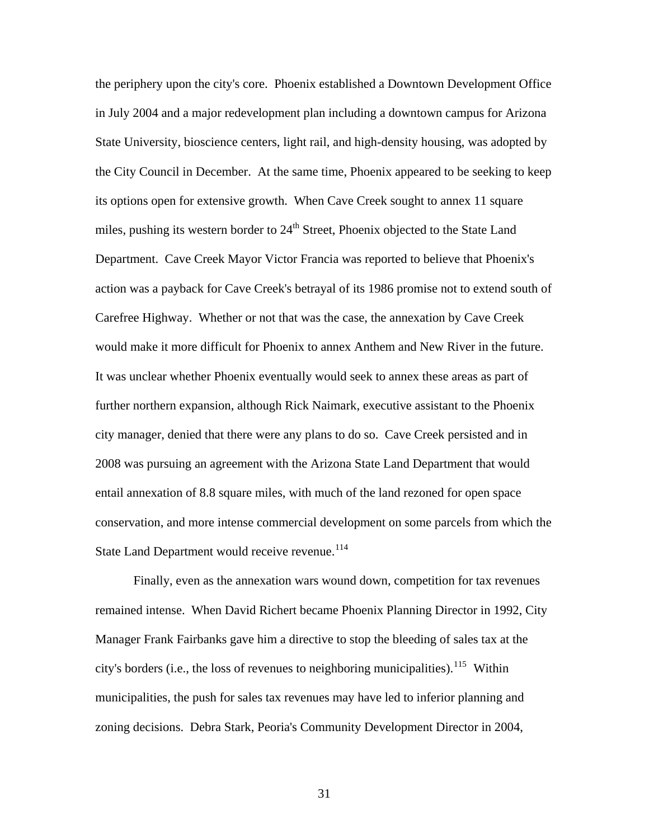[the periphery upon the city's core. Phoenix established a Downtown Development Office](#page-59-1) [in July 2004 and a major redevelopment plan including a downtown campus for Arizona](#page-59-1)  [State University, bioscience centers, light rail, and high-density housing, was adopted by](#page-59-1)  [the City Council in December. At the same time, Phoenix appeared to be seeking to k](#page-59-1) eep [its options open for extensive growth. When Cave Creek sought to annex 11 square](#page-59-1) miles, pushing its western border to  $24<sup>th</sup>$  Street, Phoenix objected to the State Land [Department. Cave Creek Mayor Victor Francia was reported to believe that Phoenix's](#page-59-1)  [action was a payback for Cave Creek's betrayal of its 1986 promise not to extend sout](#page-59-1) h of [Carefree Highway. Whether or not that was the case, the annexation by Cave Creek](#page-59-1)  [would make it more difficult for Phoenix to annex Anthem and New River in the futur](#page-59-1) e. [It was unclear whether Phoenix eventually would seek to annex these areas as part of](#page-59-1)  [further northern expansion, although Rick Naimark, executive assistant to the Phoenix](#page-59-1) [city manager, denied that there were any plans to do so. Cave Creek persisted and in](#page-59-1)  [2008 was pursuing an agreement with the Arizona State Land Department that would](#page-59-1) [entail annexation of 8.8 square miles, with much of the land rezoned for open space](#page-59-1)  [conservation, and more intense commercial develo](#page-59-1) pment on some parcels from which the State Land Department would receive revenue.<sup>[114](#page-59-1)</sup>

[remained intense. When David Richert became Phoenix Planning Director in 1992, C](#page-59-1)ity [Manager Frank Fairbanks gave him a directive to stop the bleeding of sales tax at t](#page-59-1)he  [Finally, even as the annexation wars wound down, competition for tax revenues](#page-59-1)  [city's borders \(i.e., the loss of revenues to neighboring municipalities\).](#page-59-1)<sup>115</sup> Within [municipalities, the push for sales tax revenues may have led to inferior planning and](#page-59-1)  [zoning decisions. Debra Stark, Peoria's Community Development Director in 2004,](#page-59-1)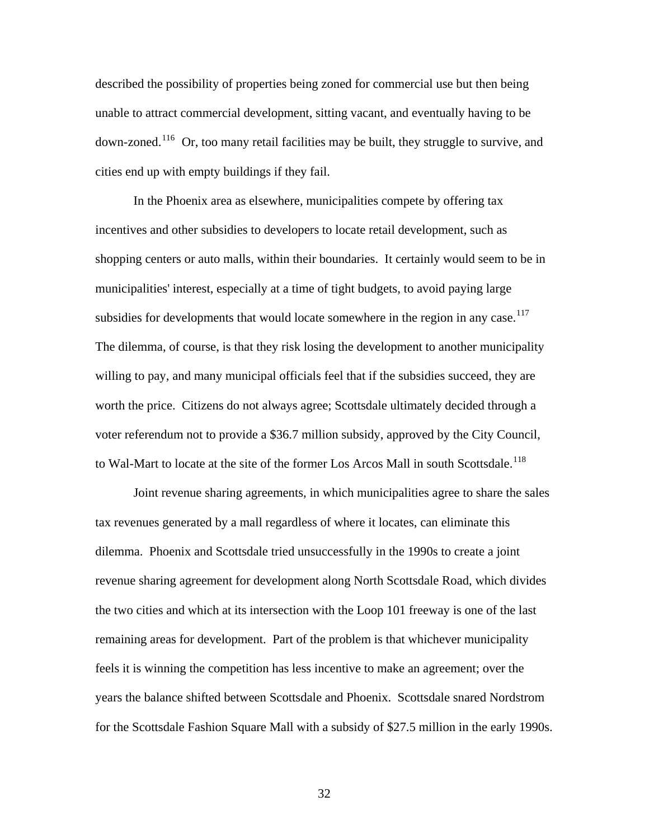[described the possibility of properties being zoned for commercial use but then being](#page-59-1)  [unable to attract commercial development, sitting vacant, and eventually having to be](#page-59-1)  down-zoned.<sup>116</sup> Or, too many retail facilities may be built, they struggle to survive, and cities end up with empty buildings if they fail.

shopping centers or auto malls, within their boundaries. It certainly would seem to be in voter referendum not to provide a \$36.7 million subsidy, approved by the City Council, to Wal-Mart to locate at the site of the former Los Arcos Mall in south Scottsdale.<sup>[118](#page-59-1)</sup> In the Phoenix area as elsewhere, municipalities compete by offering tax incentives and other subsidies to developers to locate retail development, such as municipalities' interest, especially at a time of tight budgets, to avoid paying large subsidies for developments that would locate somewhere in the region in any case.<sup>[117](#page-59-1)</sup> The dilemma, of course, is that they risk losing the development to another municipality willing to pay, and many municipal officials feel that if the subsidies succeed, they are worth the price. Citizens do not always agree; Scottsdale ultimately decided through a

Joint revenue sharing agreements, in which municipalities agree to share the sales [for the Scottsdale Fashion Square Mall with a subsidy of \\$27.5 million in the ear](#page-59-1)ly 1990s. [tax revenues generated by a mall regardless of where it locates, can eliminate this](#page-59-1)  [dilemma. Phoenix and Scottsdale tried unsuccessfully in the 1990s to create a joint](#page-59-1)  [revenue sharing agreement for development along North Scottsdale Road, which divides](#page-59-1) [the two cities and which at its intersection with the Loop 101 freeway is one of the last](#page-59-1) [remaining areas for development. Part of the problem is that whichever municipality](#page-59-1)  [feels it is winning the competition has less incentive to make an agreement; over the](#page-59-1)  [years the balance shifted between Scottsdale and Phoenix. Scottsdale snared Nordstrom](#page-59-1)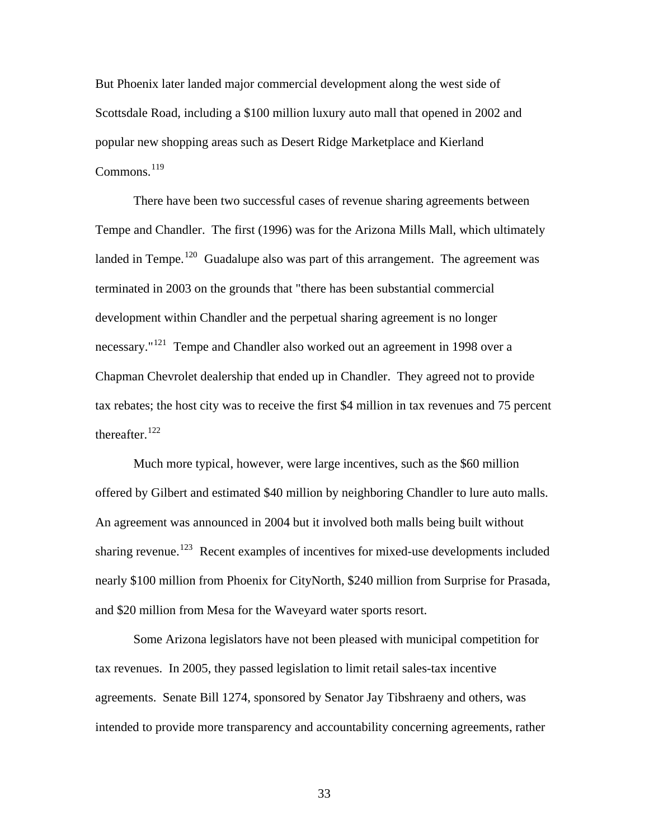[But Phoenix later landed major commercial development along the west side of](#page-59-1)  [Scottsdale Road, including a \\$100 million luxury auto mall that opened in 200](#page-59-1) 2 and [popular new sh](#page-59-1) opping areas such as Desert Ridge Marketplace and Kierland  $Commons<sup>119</sup>$  $Commons<sup>119</sup>$  $Commons<sup>119</sup>$ 

[landed in Tempe.](#page-59-1)<sup>120</sup> [Guadalupe also was part of this arrangement. The agreem](#page-59-1)ent was [tax rebates; the](#page-59-1) host city was to receive the first \$4 million in tax revenues and 75 percent thereafter. $^{122}$  $^{122}$  $^{122}$  [There have been two successful cases of revenue sharing agreements between](#page-59-1)  [Tempe and Chandler. The first \(1996\) was for the Arizona Mills Mall, which ultimately](#page-59-1) [terminated in 2003 on the grounds that "there has been substantial commercial](#page-59-1)  [development within Chandler and the perpetual sharing agreement is no longer](#page-59-1)  [necessary."](#page-59-1)121 [Tempe and Chandler also worked out an agreement in 1998 over a](#page-59-1)  [Chapman Chevrolet dealership that ended up in Chandler. They agreed not to provide](#page-59-1) 

offered by Gilbert and estimated \$40 million by neighboring Chandler to lure auto malls. nearly \$100 million from Phoenix for CityNorth, \$240 million from Surprise for Prasada, and \$20 million from Mesa for the Waveyard water sports resort. Much more typical, however, were large incentives, such as the \$60 million An agreement was announced in 2004 but it involved both malls being built without sharing revenue.<sup>[123](#page-59-1)</sup> Recent examples of incentives for mixed-use developments included

Some Arizona legislators have not been pleased with municipal competition for intended to provide more transparency and accountability concerning agreements, rather tax revenues. In 2005, they passed legislation to limit retail sales-tax incentive agreements. Senate Bill 1274, sponsored by Senator Jay Tibshraeny and others, was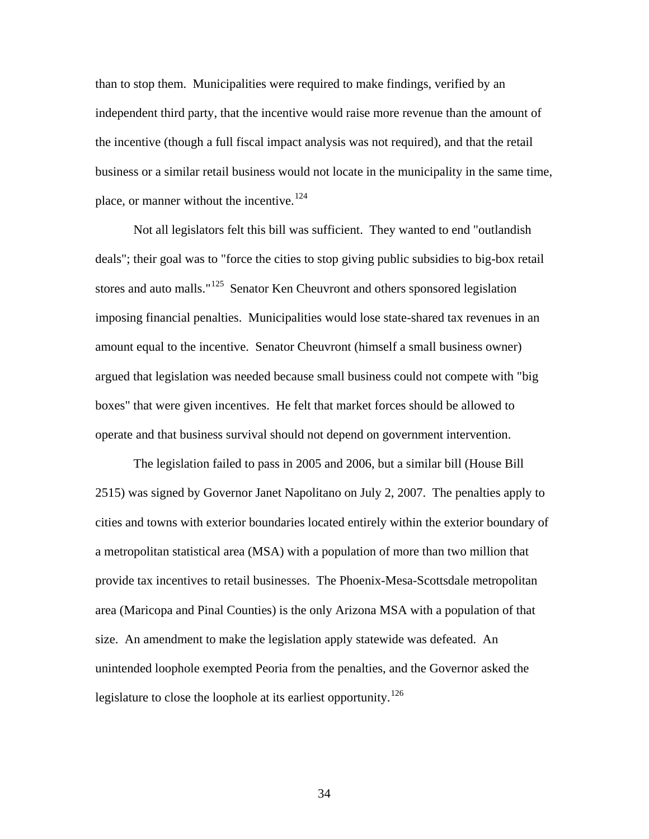than to stop them. Municipalities were required to make findings, verified by an independent third party, that the incentive would raise more revenue than the amount o f the incentive (though a full fiscal impact analysis was not required), and that the retail business or a similar retail business would n ot locate in the municipality in the same time, place, or manner without the incentive.<sup>[124](#page-59-1)</sup>

deals"; their goal was to "force the cities to stop giving public subsidies to big-box retail imposing financial penalties. Municipalities would lose state-shared tax revenues in an argued that legislation was needed because small business could not compete with "big operate and that business survival should not depend on government intervention. Not all legislators felt this bill was sufficient. They wanted to end "outlandish stores and auto malls."<sup>[125](#page-59-1)</sup> Senator Ken Cheuvront and others sponsored legislation amount equal to the incentive. Senator Cheuvront (himself a small business owner) boxes" that were given incentives. He felt that market forces should be allowed to

cities and towns with exterior boundaries located entirely within the exterior boundary of area (Maricopa and Pinal Counties) is the only Arizona MSA with a population of that unintended loophole exempted Peoria from the penalties, and the Governor asked the legislature to close the loophole at its earliest opportunity.<sup>126</sup> The legislation failed to pass in 2005 and 2006, but a similar bill (House Bill 2515) was signed by Governor Janet Napolitano on July 2, 2007. The penalties apply to a metropolitan statistical area (MSA) with a population of more than two million that provide tax incentives to retail businesses. The Phoenix-Mesa-Scottsdale metropolitan size. An amendment to make the legislation apply statewide was defeated. An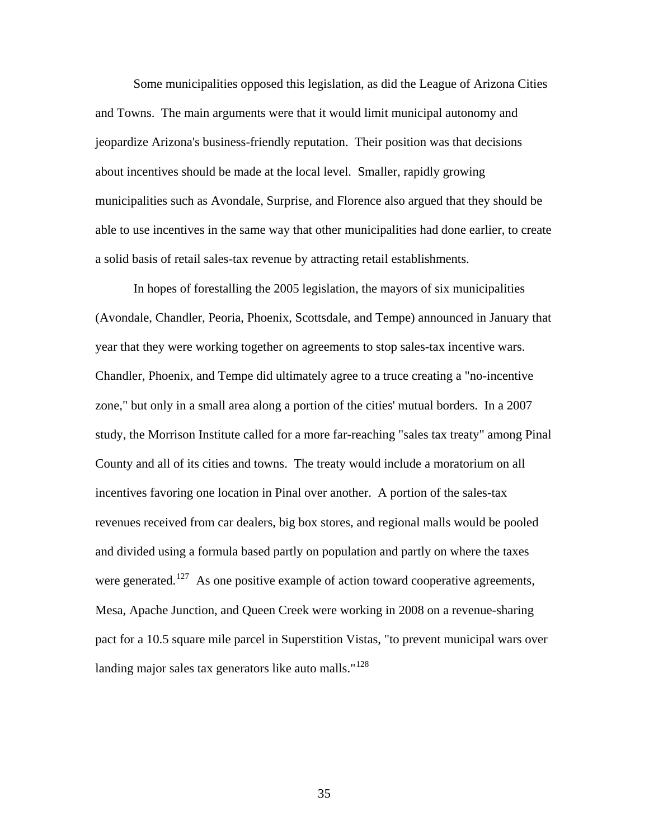Some municipalities opposed this legislation, as did the League of Arizona Ci ties and Towns. The main arguments were that it would limit municipal autonomy and jeopardize Arizona's business-friendly reputation. Their position was that decisions about incentives should be made at the local level. Smaller, rapidly growing municipalities such as Avondale, Surprise, and Florence also argued that th ey should be able to use incentives in the same way that other municipalities had done earlier, to create a solid basis of retail sales-tax revenue by attracting retail establishments.

(Avondale, Chandler, Peoria, Phoenix, Scottsdale, and Tempe) announced in January that study, the Morrison Institute called for a more far-reaching "sales tax treaty" among Pinal Mesa, Apache Junction, and Queen Creek were working in 2008 on a revenue-sharing pact for a 10.5 square mile parcel in Superstition Vistas, "to prevent municipal wars over landing major sales tax generators like auto malls."<sup>128</sup> In hopes of forestalling the 2005 legislation, the mayors of six municipalities year that they were working together on agreements to stop sales-tax incentive wars. Chandler, Phoenix, and Tempe did ultimately agree to a truce creating a "no-incentive zone," but only in a small area along a portion of the cities' mutual borders. In a 2007 County and all of its cities and towns. The treaty would include a moratorium on all incentives favoring one location in Pinal over another. A portion of the sales-tax revenues received from car dealers, big box stores, and regional malls would be pooled and divided using a formula based partly on population and partly on where the taxes were generated.<sup>[127](#page-59-1)</sup> As one positive example of action toward cooperative agreements,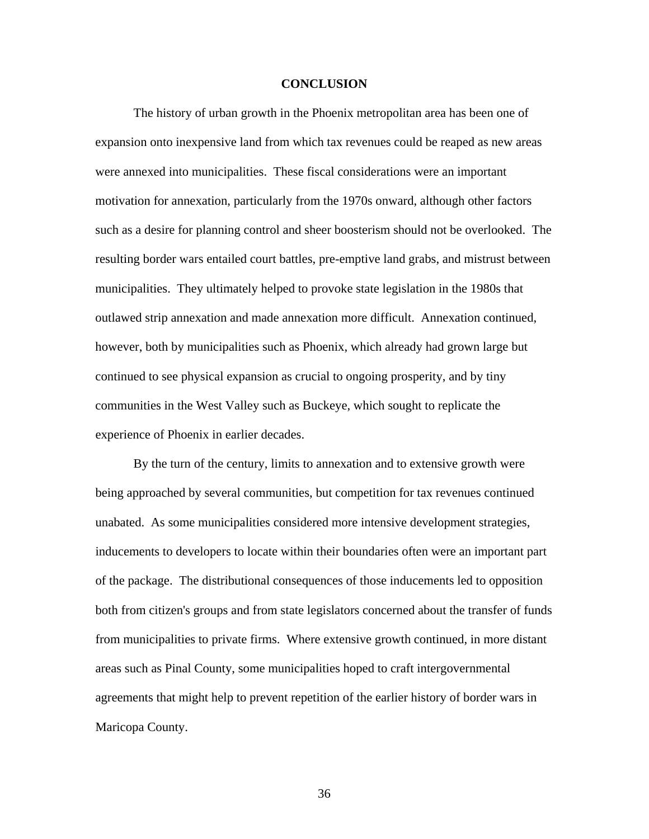#### **CONCLUSION**

 The history of urban growth in the Phoenix metropolitan area has been one of expansion onto inexpensive land from which tax revenues could be reaped as new areas were annexed into municipalities. These fiscal considerations were an important motivation for annexation, particularly from the 1970s onward, although other factors such as a desire for planning control and sheer boosterism should not be overlooked. The resulting border wars entailed court battles, pre-emptive land grabs, and mistrust betw een municipalities. They ultimately helped to provoke state legislation in the 1980s that outlawed strip annexation and made annexation more difficult. Annexation continued , however, both by municipalities such as Phoenix, which already had grown large but continued to see physical expansion as crucial to ongoing prosperity, and by tiny communities in the West Valley such as B uckeye, which sought to replicate the experience of Phoenix in earlier decades.

from municipalities to private firms. Where extensive growth continued, in more distant agreements that might help to prevent repetition of the earlier history of border wars in Maricopa County. By the turn of the century, limits to annexation and to extensive growth were being approached by several communities, but competition for tax revenues continued unabated. As some municipalities considered more intensive development strategies, inducements to developers to locate within their boundaries often were an important part of the package. The distributional consequences of those inducements led to opposition both from citizen's groups and from state legislators concerned about the transfer of funds areas such as Pinal County, some municipalities hoped to craft intergovernmental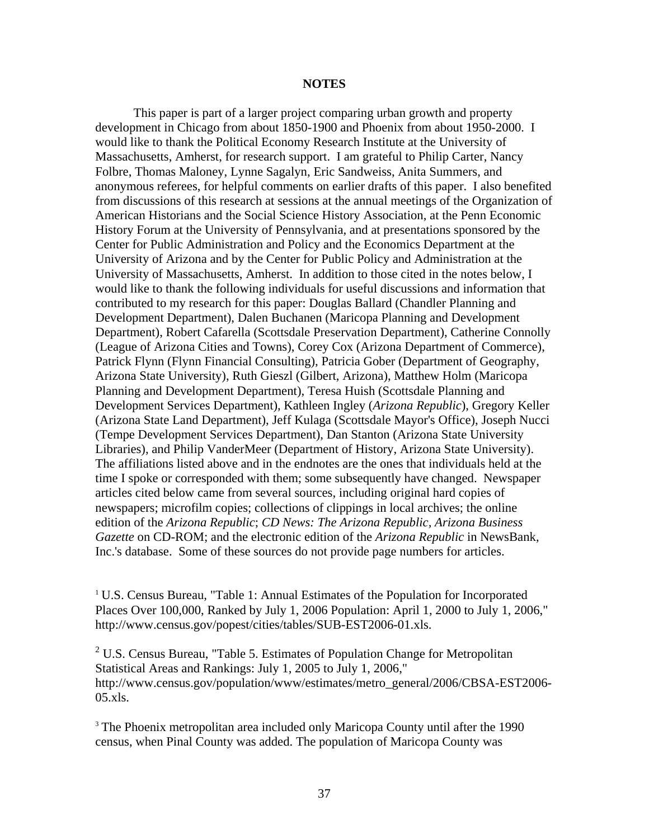#### **NOTES**

 This paper is part of a larger project comparing urban growth and property development in Chicago from about 1850-1900 and Phoenix from about 1950-2000. I would like to thank the Political Economy Research Institute at the University of Massachusetts, Amherst, for research support. I am grateful to Philip Carter, Nancy Folbre, Thomas Maloney, Lynne Sagalyn, Eric Sandweiss, Anita Summers, and anonymous referees, for helpful comments on earlier drafts of this paper. I also benefited from discussions of this research at sessions at the annual meetings of the Organization of American Historians and the Social Science History Association, at the Penn Economic History Forum at the University of Pennsylvania, and at presentations sponsored by the Center for Public Administration and Policy and the Economics Department at the University of Arizona and by the Center for Public Policy and Administration at the University of Massachusetts, Amherst. In addition to those cited in the notes below, I would like to thank the following individuals for useful discussions and information that contributed to my research for this paper: Douglas Ballard (Chandler Planning and Development Department), Dalen Buchanen (Maricopa Planning and Development Department), Robert Cafarella (Scottsdale Preservation Department), Catherine Connolly (League of Arizona Cities and Towns), Corey Cox (Arizona Department of Commerce), Patrick Flynn (Flynn Financial Consulting), Patricia Gober (Department of Geography, Arizona State University), Ruth Gieszl (Gilbert, Arizona), Matthew Holm (Maricopa Planning and Development Department), Teresa Huish (Scottsdale Planning and Development Services Department), Kathleen Ingley (*Arizona Republic*), Gregory Keller (Arizona State Land Department), Jeff Kulaga (Scottsdale Mayor's Office), Joseph Nucci (Tempe Development Services Department), Dan Stanton (Arizona State University Libraries), and Philip VanderMeer (Department of History, Arizona State University). The affiliations listed above and in the endnotes are the ones that individuals held at the time I spoke or corresponded with them; some subsequently have changed. Newspaper articles cited below came from several sources, including original hard copies of newspapers; microfilm copies; collections of clippings in local archives; the online edition of the *Arizona Republic*; *CD News: The Arizona Republic, Arizona Business Gazette* on CD-ROM; and the electronic edition of the *Arizona Republic* in NewsBank, Inc.'s database. Some of these sources do not provide page numbers for articles.

<sup>1</sup> U.S. Census Bureau, "Table 1: Annual Estimates of the Population for Incorporated Places Over 100,000, Ranked by July 1, 2006 Population: April 1, 2000 to July 1, 2006," http://www.census.gov/popest/cities/tables/SUB-EST2006-01.xls.

 $2^2$  U.S. Census Bureau, "Table 5. Estimates of Population Change for Metropolitan Statistical Areas and Rankings: July 1, 2005 to July 1, 2006," http://www.census.gov/population/www/estimates/metro\_general/2006/CBSA-EST2006-  $05.xls.$ 

<sup>3</sup> The Phoenix metropolitan area included only Maricopa County until after the 1990 census, when Pinal County was added. The population of Maricopa County was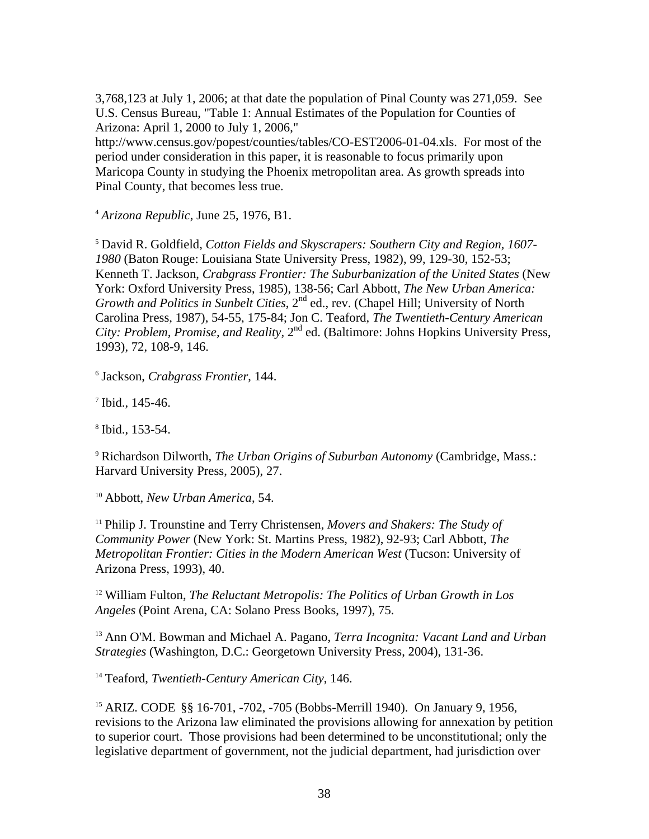3,768,123 at July 1, 2006; at that date the population of Pinal County was 271,059. See U.S. Census Bureau, "Table 1: Annual Estimates of the Population for Counties of Arizona: April 1, 2000 to July 1, 2006," http://www.census.gov/popest/counties/tables/CO-EST2006-01-04.xls. For most of the period under consideration in this paper, it is reasonable to focus primarily upon

Maricopa County in studying the Phoenix metropolitan area. As growth spreads into Pinal County, that becomes less true.

<sup>4</sup> *Arizona Republic*, June 25, 1976, B1.

<sup>5</sup> David R. Goldfield, *Cotton Fields and Skyscrapers: Southern City and Region, 1607- 1980* (Baton Rouge: Louisiana State University Press, 1982), 99, 129-30, 152-53; Kenneth T. Jackson, *Crabgrass Frontier: The Suburbanization of the United States* (New York: Oxford University Press, 1985), 138-56; Carl Abbott, *The New Urban America: Growth and Politics in Sunbelt Cities*,  $2^{nd}$  ed., rev. (Chapel Hill; University of North Carolina Press, 1987), 54-55, 175-84; Jon C. Teaford, *The Twentieth-Century American City: Problem, Promise, and Reality,* 2<sup>nd</sup> ed. (Baltimore: Johns Hopkins University Press, 1993), 72, 108-9, 146.

<sup>6</sup> Jackson, *Crabgrass Frontier*, 144.

 $7$  Ibid., 145-46.

<sup>8</sup> Ibid., 153-54.

<sup>9</sup> Richardson Dilworth, *The Urban Origins of Suburban Autonomy* (Cambridge, Mass.: Harvard University Press, 2005), 27.

<sup>10</sup> Abbott, *New Urban America*, 54.

<sup>11</sup> Philip J. Trounstine and Terry Christensen, *Movers and Shakers: The Study of Community Power* (New York: St. Martins Press, 1982), 92-93; Carl Abbott, *The Metropolitan Frontier: Cities in the Modern American West* (Tucson: University of Arizona Press, 1993), 40.

<sup>12</sup> William Fulton, *The Reluctant Metropolis: The Politics of Urban Growth in Los Angeles* (Point Arena, CA: Solano Press Books, 1997), 75.

<sup>13</sup> Ann O'M. Bowman and Michael A. Pagano, *Terra Incognita: Vacant Land and Urban Strategies* (Washington, D.C.: Georgetown University Press, 2004), 131-36.

<sup>14</sup> Teaford, *Twentieth-Century American City*, 146.

<sup>15</sup> ARIZ. CODE §§ 16-701, -702, -705 (Bobbs-Merrill 1940). On January 9, 1956, revisions to the Arizona law eliminated the provisions allowing for annexation by petition to superior court. Those provisions had been determined to be unconstitutional; only the legislative department of government, not the judicial department, had jurisdiction over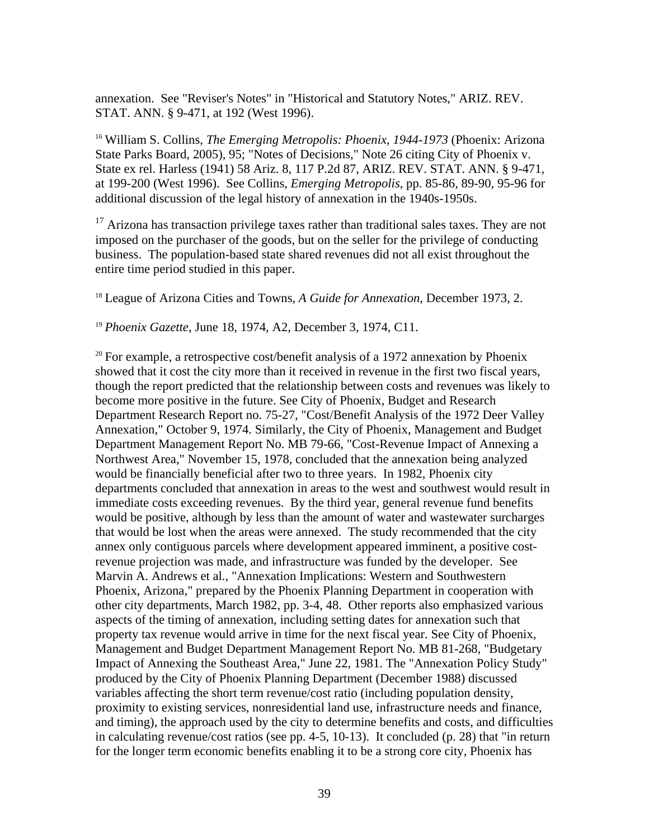annexation. See "Reviser's Notes" in "Historical and Statutory Notes," ARIZ. REV. STAT. ANN. § 9-471, at 192 (West 1996).

<sup>16</sup> William S. Collins, *The Emerging Metropolis: Phoenix, 1944-1973* (Phoenix: Arizona State Parks Board, 2005), 95; "Notes of Decisions," Note 26 citing City of Phoenix v. State ex rel. Harless (1941) 58 Ariz. 8, 117 P.2d 87, ARIZ. REV. STAT. ANN. § 9-471, at 199-200 (West 1996). See Collins, *Emerging Metropolis*, pp. 85-86, 89-90, 95-96 for additional discussion of the legal history of annexation in the 1940s-1950s.

 $17$  Arizona has transaction privilege taxes rather than traditional sales taxes. They are not imposed on the purchaser of the goods, but on the seller for the privilege of conducting business. The population-based state shared revenues did not all exist throughout the entire time period studied in this paper.

<sup>18</sup> League of Arizona Cities and Towns, *A Guide for Annexation*, December 1973, 2.

<sup>19</sup> *Phoenix Gazette*, June 18, 1974, A2, December 3, 1974, C11.

 $20$  For example, a retrospective cost/benefit analysis of a 1972 annexation by Phoenix showed that it cost the city more than it received in revenue in the first two fiscal years, though the report predicted that the relationship between costs and revenues was likely to become more positive in the future. See City of Phoenix, Budget and Research Department Research Report no. 75-27, "Cost/Benefit Analysis of the 1972 Deer Valley Annexation," October 9, 1974. Similarly, the City of Phoenix, Management and Budget Department Management Report No. MB 79-66, "Cost-Revenue Impact of Annexing a Northwest Area," November 15, 1978, concluded that the annexation being analyzed would be financially beneficial after two to three years. In 1982, Phoenix city departments concluded that annexation in areas to the west and southwest would result in immediate costs exceeding revenues. By the third year, general revenue fund benefits would be positive, although by less than the amount of water and wastewater surcharges that would be lost when the areas were annexed. The study recommended that the city annex only contiguous parcels where development appeared imminent, a positive costrevenue projection was made, and infrastructure was funded by the developer. See Marvin A. Andrews et al., "Annexation Implications: Western and Southwestern Phoenix, Arizona," prepared by the Phoenix Planning Department in cooperation with other city departments, March 1982, pp. 3-4, 48. Other reports also emphasized various aspects of the timing of annexation, including setting dates for annexation such that property tax revenue would arrive in time for the next fiscal year. See City of Phoenix, Management and Budget Department Management Report No. MB 81-268, "Budgetary Impact of Annexing the Southeast Area," June 22, 1981. The "Annexation Policy Study" produced by the City of Phoenix Planning Department (December 1988) discussed variables affecting the short term revenue/cost ratio (including population density, proximity to existing services, nonresidential land use, infrastructure needs and finance, and timing), the approach used by the city to determine benefits and costs, and difficulties in calculating revenue/cost ratios (see pp. 4-5, 10-13). It concluded (p. 28) that "in return for the longer term economic benefits enabling it to be a strong core city, Phoenix has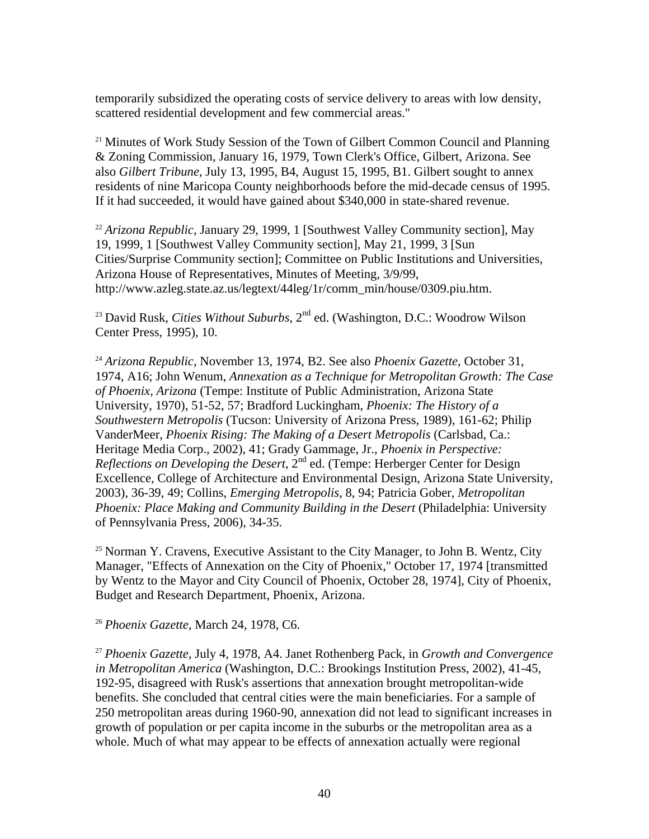temporarily subsidized the operating costs of service delivery to areas with low density, scattered residential development and few commercial areas."

<sup>21</sup> Minutes of Work Study Session of the Town of Gilbert Common Council and Planning & Zoning Commission, January 16, 1979, Town Clerk's Office, Gilbert, Arizona. See also *Gilbert Tribune*, July 13, 1995, B4, August 15, 1995, B1. Gilbert sought to annex residents of nine Maricopa County neighborhoods before the mid-decade census of 1995. If it had succeeded, it would have gained about \$340,000 in state-shared revenue.

<sup>22</sup> *Arizona Republic*, January 29, 1999, 1 [Southwest Valley Community section], May 19, 1999, 1 [Southwest Valley Community section], May 21, 1999, 3 [Sun Cities/Surprise Community section]; Committee on Public Institutions and Universities, Arizona House of Representatives, Minutes of Meeting, 3/9/99, http://www.azleg.state.az.us/legtext/44leg/1r/comm\_min/house/0309.piu.htm.

<sup>23</sup> David Rusk, *Cities Without Suburbs*, 2<sup>nd</sup> ed. (Washington, D.C.: Woodrow Wilson Center Press, 1995), 10.

<sup>24</sup> *Arizona Republic*, November 13, 1974, B2. See also *Phoenix Gazette*, October 31, 1974, A16; John Wenum, *Annexation as a Technique for Metropolitan Growth: The Case of Phoenix, Arizona* (Tempe: Institute of Public Administration, Arizona State University, 1970), 51-52, 57; Bradford Luckingham, *Phoenix: The History of a Southwestern Metropolis* (Tucson: University of Arizona Press, 1989), 161-62; Philip VanderMeer, *Phoenix Rising: The Making of a Desert Metropolis* (Carlsbad, Ca.: Heritage Media Corp., 2002), 41; Grady Gammage, Jr., *Phoenix in Perspective: Reflections on Developing the Desert*, 2nd ed. (Tempe: Herberger Center for Design Excellence, College of Architecture and Environmental Design, Arizona State University, 2003), 36-39, 49; Collins, *Emerging Metropolis*, 8, 94; Patricia Gober, *Metropolitan Phoenix: Place Making and Community Building in the Desert* (Philadelphia: University of Pennsylvania Press, 2006), 34-35.

 $25$  Norman Y. Cravens, Executive Assistant to the City Manager, to John B. Wentz, City Manager, "Effects of Annexation on the City of Phoenix," October 17, 1974 [transmitted by Wentz to the Mayor and City Council of Phoenix, October 28, 1974], City of Phoenix, Budget and Research Department, Phoenix, Arizona.

<sup>26</sup> *Phoenix Gazette*, March 24, 1978, C6.

<sup>27</sup> *Phoenix Gazette*, July 4, 1978, A4. Janet Rothenberg Pack, in *Growth and Convergence in Metropolitan America* (Washington, D.C.: Brookings Institution Press, 2002), 41-45, 192-95, disagreed with Rusk's assertions that annexation brought metropolitan-wide benefits. She concluded that central cities were the main beneficiaries. For a sample of 250 metropolitan areas during 1960-90, annexation did not lead to significant increases in growth of population or per capita income in the suburbs or the metropolitan area as a whole. Much of what may appear to be effects of annexation actually were regional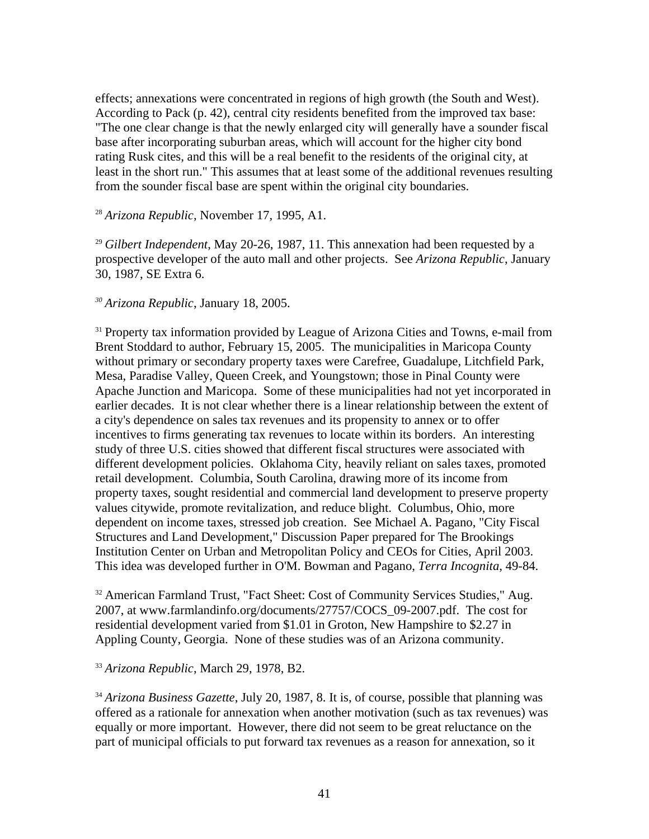effects; annexations were concentrated in regions of high growth (the South and West). According to Pack (p. 42), central city residents benefited from the improved tax base: "The one clear change is that the newly enlarged city will generally have a sounder fiscal base after incorporating suburban areas, which will account for the higher city bond rating Rusk cites, and this will be a real benefit to the residents of the original city, at least in the short run." This assumes that at least some of the additional revenues resulting from the sounder fiscal base are spent within the original city boundaries.

#### <sup>28</sup> *Arizona Republic*, November 17, 1995, A1.

<sup>29</sup> *Gilbert Independent*, May 20-26, 1987, 11. This annexation had been requested by a prospective developer of the auto mall and other projects. See *Arizona Republic*, January 30, 1987, SE Extra 6.

*<sup>30</sup> Arizona Republic*, January 18, 2005.

<sup>31</sup> Property tax information provided by League of Arizona Cities and Towns, e-mail from Brent Stoddard to author, February 15, 2005. The municipalities in Maricopa County without primary or secondary property taxes were Carefree, Guadalupe, Litchfield Park, Mesa, Paradise Valley, Queen Creek, and Youngstown; those in Pinal County were Apache Junction and Maricopa. Some of these municipalities had not yet incorporated in earlier decades. It is not clear whether there is a linear relationship between the extent of a city's dependence on sales tax revenues and its propensity to annex or to offer incentives to firms generating tax revenues to locate within its borders. An interesting study of three U.S. cities showed that different fiscal structures were associated with different development policies. Oklahoma City, heavily reliant on sales taxes, promoted retail development. Columbia, South Carolina, drawing more of its income from property taxes, sought residential and commercial land development to preserve property values citywide, promote revitalization, and reduce blight. Columbus, Ohio, more dependent on income taxes, stressed job creation. See Michael A. Pagano, "City Fiscal Structures and Land Development," Discussion Paper prepared for The Brookings Institution Center on Urban and Metropolitan Policy and CEOs for Cities, April 2003. This idea was developed further in O'M. Bowman and Pagano, *Terra Incognita*, 49-84.

<sup>32</sup> American Farmland Trust, "Fact Sheet: Cost of Community Services Studies," Aug. 2007, at www.farmlandinfo.org/documents/27757/COCS\_09-2007.pdf. The cost for residential development varied from \$1.01 in Groton, New Hampshire to \$2.27 in Appling County, Georgia. None of these studies was of an Arizona community.

#### <sup>33</sup> *Arizona Republic*, March 29, 1978, B2.

<sup>34</sup> Arizona Business Gazette, July 20, 1987, 8. It is, of course, possible that planning was offered as a rationale for annexation when another motivation (such as tax revenues) was equally or more important. However, there did not seem to be great reluctance on the part of municipal officials to put forward tax revenues as a reason for annexation, so it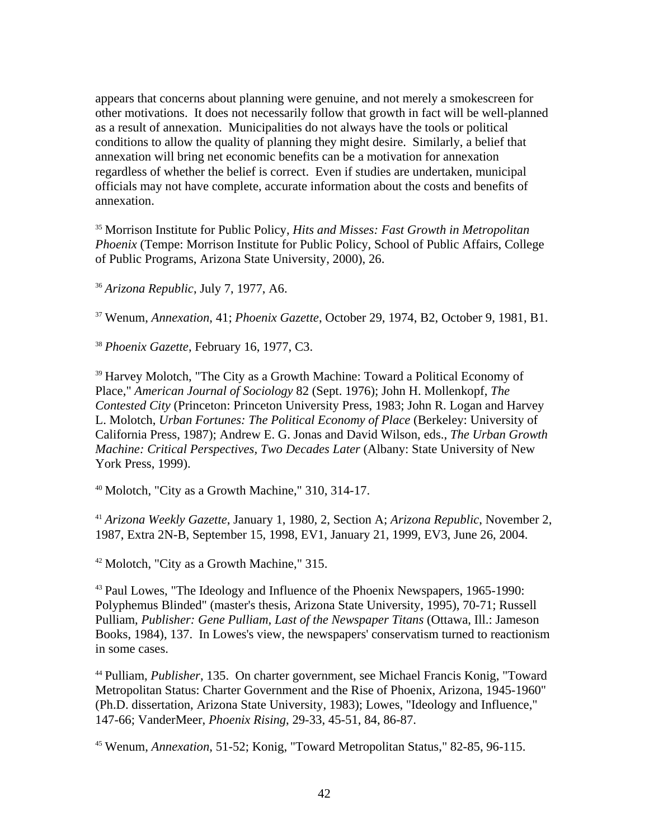appears that concerns about planning were genuine, and not merely a smokescreen for other motivations. It does not necessarily follow that growth in fact will be well-planned as a result of annexation. Municipalities do not always have the tools or political conditions to allow the quality of planning they might desire. Similarly, a belief that annexation will bring net economic benefits can be a motivation for annexation regardless of whether the belief is correct. Even if studies are undertaken, municipal officials may not have complete, accurate information about the costs and benefits of annexation.

<sup>35</sup> Morrison Institute for Public Policy, *Hits and Misses: Fast Growth in Metropolitan Phoenix* (Tempe: Morrison Institute for Public Policy, School of Public Affairs, College of Public Programs, Arizona State University, 2000), 26.

<sup>36</sup> *Arizona Republic*, July 7, 1977, A6.

<sup>37</sup> Wenum, *Annexation*, 41; *Phoenix Gazette*, October 29, 1974, B2, October 9, 1981, B1.

<sup>38</sup> *Phoenix Gazette*, February 16, 1977, C3.

<sup>39</sup> Harvey Molotch, "The City as a Growth Machine: Toward a Political Economy of Place," *American Journal of Sociology* 82 (Sept. 1976); John H. Mollenkopf, *The Contested City* (Princeton: Princeton University Press, 1983; John R. Logan and Harvey L. Molotch, *Urban Fortunes: The Political Economy of Place* (Berkeley: University of California Press, 1987); Andrew E. G. Jonas and David Wilson, eds., *The Urban Growth Machine: Critical Perspectives, Two Decades Later* (Albany: State University of New York Press, 1999).

 $40$  Molotch, "City as a Growth Machine," 310, 314-17.

<sup>41</sup> *Arizona Weekly Gazette*, January 1, 1980, 2, Section A; *Arizona Republic*, November 2, 1987, Extra 2N-B, September 15, 1998, EV1, January 21, 1999, EV3, June 26, 2004.

<sup>42</sup> Molotch, "City as a Growth Machine," 315.

<sup>43</sup> Paul Lowes, "The Ideology and Influence of the Phoenix Newspapers, 1965-1990: Polyphemus Blinded" (master's thesis, Arizona State University, 1995), 70-71; Russell Pulliam, *Publisher: Gene Pulliam, Last of the Newspaper Titans* (Ottawa, Ill.: Jameson Books, 1984), 137. In Lowes's view, the newspapers' conservatism turned to reactionism in some cases.

<sup>44</sup> Pulliam, *Publisher*, 135. On charter government, see Michael Francis Konig, "Toward Metropolitan Status: Charter Government and the Rise of Phoenix, Arizona, 1945-1960" (Ph.D. dissertation, Arizona State University, 1983); Lowes, "Ideology and Influence," 147-66; VanderMeer, *Phoenix Rising*, 29-33, 45-51, 84, 86-87.

<sup>45</sup> Wenum, *Annexation*, 51-52; Konig, "Toward Metropolitan Status," 82-85, 96-115.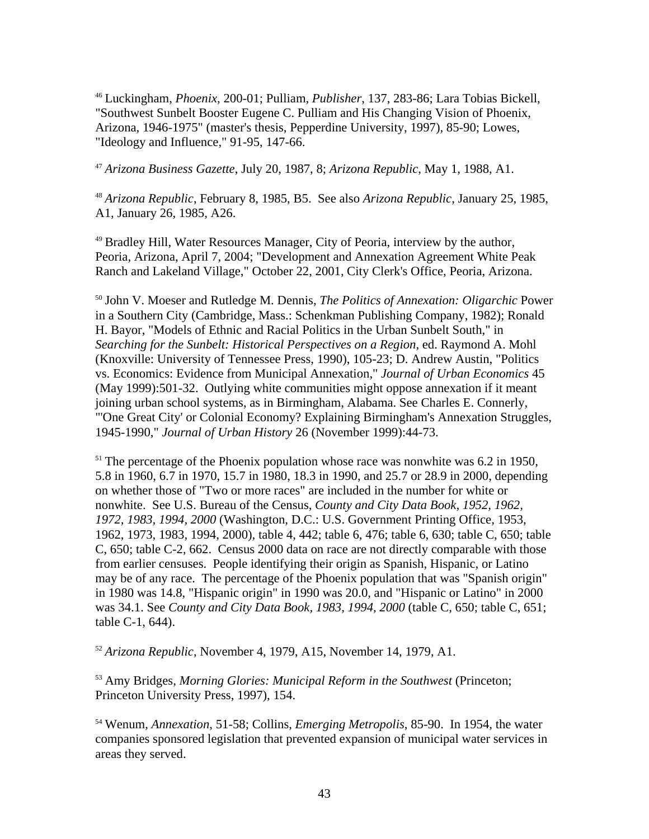<sup>46</sup> Luckingham, *Phoenix*, 200-01; Pulliam, *Publisher*, 137, 283-86; Lara Tobias Bickell, "Southwest Sunbelt Booster Eugene C. Pulliam and His Changing Vision of Phoenix, Arizona, 1946-1975" (master's thesis, Pepperdine University, 1997), 85-90; Lowes, "Ideology and Influence," 91-95, 147-66.

<sup>47</sup> *Arizona Business Gazette*, July 20, 1987, 8; *Arizona Republic*, May 1, 1988, A1.

<sup>48</sup> *Arizona Republic*, February 8, 1985, B5. See also *Arizona Republic*, January 25, 1985, A1, January 26, 1985, A26.

<sup>49</sup> Bradley Hill, Water Resources Manager, City of Peoria, interview by the author, Peoria, Arizona, April 7, 2004; "Development and Annexation Agreement White Peak Ranch and Lakeland Village," October 22, 2001, City Clerk's Office, Peoria, Arizona.

<sup>50</sup> John V. Moeser and Rutledge M. Dennis, *The Politics of Annexation: Oligarchic* Power in a Southern City (Cambridge, Mass.: Schenkman Publishing Company, 1982); Ronald H. Bayor, "Models of Ethnic and Racial Politics in the Urban Sunbelt South," in *Searching for the Sunbelt: Historical Perspectives on a Region*, ed. Raymond A. Mohl (Knoxville: University of Tennessee Press, 1990), 105-23; D. Andrew Austin, "Politics vs. Economics: Evidence from Municipal Annexation," *Journal of Urban Economics* 45 (May 1999):501-32. Outlying white communities might oppose annexation if it meant joining urban school systems, as in Birmingham, Alabama. See Charles E. Connerly, "'One Great City' or Colonial Economy? Explaining Birmingham's Annexation Struggles, 1945-1990," *Journal of Urban History* 26 (November 1999):44-73.

 $51$  The percentage of the Phoenix population whose race was nonwhite was 6.2 in 1950, 5.8 in 1960, 6.7 in 1970, 15.7 in 1980, 18.3 in 1990, and 25.7 or 28.9 in 2000, depending on whether those of "Two or more races" are included in the number for white or nonwhite. See U.S. Bureau of the Census, *County and City Data Book, 1952, 1962, 1972, 1983, 1994, 2000* (Washington, D.C.: U.S. Government Printing Office, 1953, 1962, 1973, 1983, 1994, 2000), table 4, 442; table 6, 476; table 6, 630; table C, 650; table C, 650; table C-2, 662. Census 2000 data on race are not directly comparable with those from earlier censuses. People identifying their origin as Spanish, Hispanic, or Latino may be of any race. The percentage of the Phoenix population that was "Spanish origin" in 1980 was 14.8, "Hispanic origin" in 1990 was 20.0, and "Hispanic or Latino" in 2000 was 34.1. See *County and City Data Book, 1983, 1994, 2000* (table C, 650; table C, 651; table C-1, 644).

<sup>52</sup> *Arizona Republic*, November 4, 1979, A15, November 14, 1979, A1.

<sup>53</sup> Amy Bridges, *Morning Glories: Municipal Reform in the Southwest* (Princeton; Princeton University Press, 1997), 154.

<sup>54</sup> Wenum, *Annexation*, 51-58; Collins, *Emerging Metropolis*, 85-90. In 1954, the water companies sponsored legislation that prevented expansion of municipal water services in areas they served.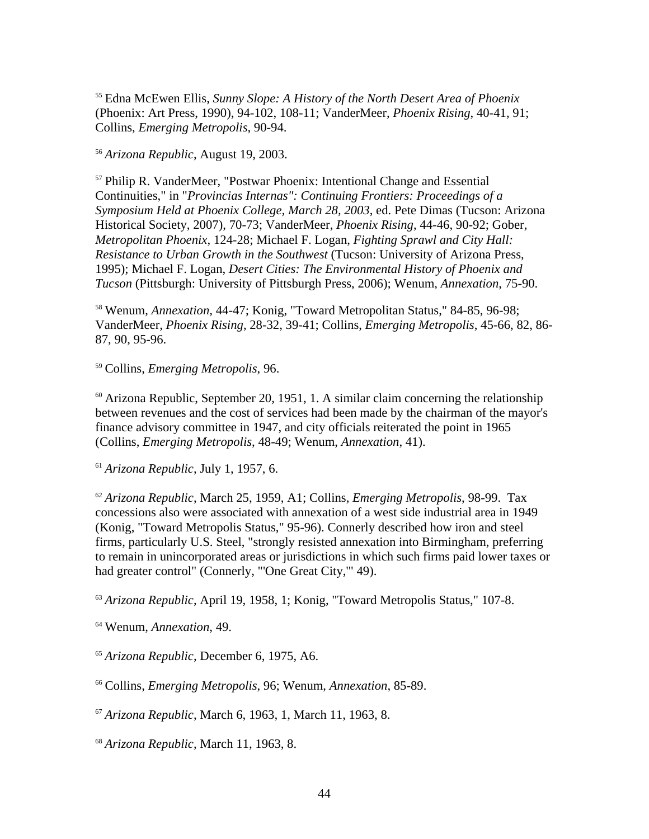<sup>55</sup> Edna McEwen Ellis, *Sunny Slope: A History of the North Desert Area of Phoenix* (Phoenix: Art Press, 1990), 94-102, 108-11; VanderMeer, *Phoenix Rising*, 40-41, 91; Collins, *Emerging Metropolis*, 90-94.

<sup>56</sup> *Arizona Republic*, August 19, 2003.

<sup>57</sup> Philip R. VanderMeer, "Postwar Phoenix: Intentional Change and Essential Continuities," in "*Provincias Internas": Continuing Frontiers: Proceedings of a Symposium Held at Phoenix College, March 28, 2003*, ed. Pete Dimas (Tucson: Arizona Historical Society, 2007), 70-73; VanderMeer, *Phoenix Rising*, 44-46, 90-92; Gober, *Metropolitan Phoenix*, 124-28; Michael F. Logan, *Fighting Sprawl and City Hall: Resistance to Urban Growth in the Southwest* (Tucson: University of Arizona Press, 1995); Michael F. Logan, *Desert Cities: The Environmental History of Phoenix and Tucson* (Pittsburgh: University of Pittsburgh Press, 2006); Wenum, *Annexation*, 75-90.

<sup>58</sup> Wenum, *Annexation,* 44-47; Konig, "Toward Metropolitan Status," 84-85, 96-98; VanderMeer, *Phoenix Rising*, 28-32, 39-41; Collins, *Emerging Metropolis*, 45-66, 82, 86- 87, 90, 95-96.

<sup>59</sup> Collins, *Emerging Metropolis*, 96.

 $60$  Arizona Republic, September 20, 1951, 1. A similar claim concerning the relationship between revenues and the cost of services had been made by the chairman of the mayor's finance advisory committee in 1947, and city officials reiterated the point in 1965 (Collins, *Emerging Metropolis*, 48-49; Wenum, *Annexation*, 41).

<sup>61</sup> *Arizona Republic*, July 1, 1957, 6.

<sup>62</sup> *Arizona Republic*, March 25, 1959, A1; Collins, *Emerging Metropolis*, 98-99. Tax concessions also were associated with annexation of a west side industrial area in 1949 (Konig, "Toward Metropolis Status," 95-96). Connerly described how iron and steel firms, particularly U.S. Steel, "strongly resisted annexation into Birmingham, preferring to remain in unincorporated areas or jurisdictions in which such firms paid lower taxes or had greater control" (Connerly, "'One Great City,"' 49).

<sup>63</sup> *Arizona Republic*, April 19, 1958, 1; Konig, "Toward Metropolis Status," 107-8.

<sup>64</sup> Wenum, *Annexation*, 49.

<sup>65</sup> *Arizona Republic*, December 6, 1975, A6.

<sup>66</sup> Collins, *Emerging Metropolis*, 96; Wenum, *Annexation*, 85-89.

<sup>67</sup> *Arizona Republic*, March 6, 1963, 1, March 11, 1963, 8.

<sup>68</sup> *Arizona Republic*, March 11, 1963, 8.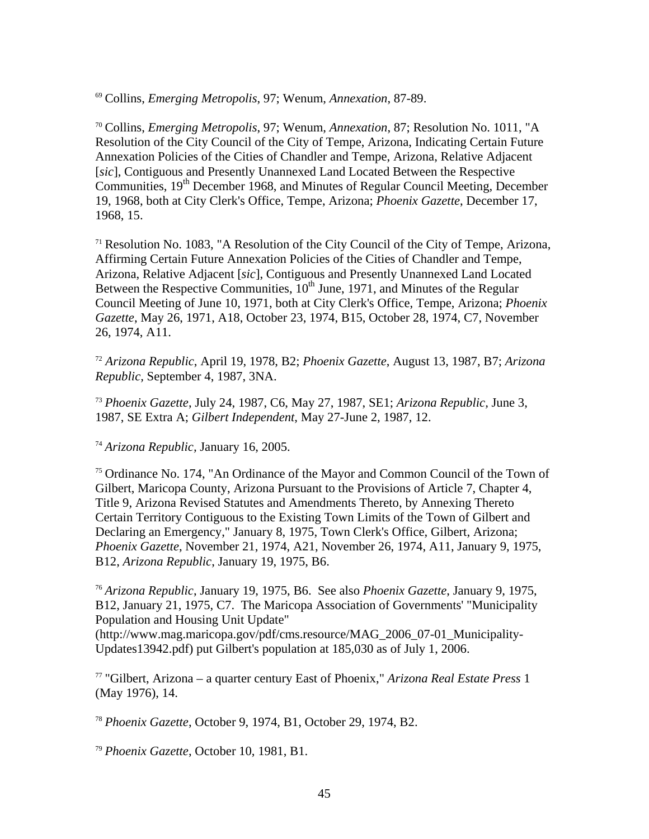<sup>69</sup> Collins, *Emerging Metropolis*, 97; Wenum, *Annexation*, 87-89.

<sup>70</sup> Collins, *Emerging Metropolis*, 97; Wenum, *Annexation*, 87; Resolution No. 1011, "A Resolution of the City Council of the City of Tempe, Arizona, Indicating Certain Future Annexation Policies of the Cities of Chandler and Tempe, Arizona, Relative Adjacent [*sic*], Contiguous and Presently Unannexed Land Located Between the Respective Communities, 19<sup>th</sup> December 1968, and Minutes of Regular Council Meeting, December 19, 1968, both at City Clerk's Office, Tempe, Arizona; *Phoenix Gazette*, December 17, 1968, 15.

 $71$  Resolution No. 1083, "A Resolution of the City Council of the City of Tempe, Arizona, Affirming Certain Future Annexation Policies of the Cities of Chandler and Tempe, Arizona, Relative Adjacent [*sic*], Contiguous and Presently Unannexed Land Located Between the Respective Communities,  $10^{th}$  June, 1971, and Minutes of the Regular Council Meeting of June 10, 1971, both at City Clerk's Office, Tempe, Arizona; *Phoenix Gazette*, May 26, 1971, A18, October 23, 1974, B15, October 28, 1974, C7, November 26, 1974, A11.

<sup>72</sup> *Arizona Republic*, April 19, 1978, B2; *Phoenix Gazette*, August 13, 1987, B7; *Arizona Republic,* September 4, 1987, 3NA.

<sup>73</sup> *Phoenix Gazette*, July 24, 1987, C6, May 27, 1987, SE1; *Arizona Republic,* June 3, 1987, SE Extra A; *Gilbert Independent*, May 27-June 2, 1987, 12.

<sup>74</sup> *Arizona Republic,* January 16, 2005.

<sup>75</sup> Ordinance No. 174, "An Ordinance of the Mayor and Common Council of the Town of Gilbert, Maricopa County, Arizona Pursuant to the Provisions of Article 7, Chapter 4, Title 9, Arizona Revised Statutes and Amendments Thereto, by Annexing Thereto Certain Territory Contiguous to the Existing Town Limits of the Town of Gilbert and Declaring an Emergency," January 8, 1975, Town Clerk's Office, Gilbert, Arizona; *Phoenix Gazette*, November 21, 1974, A21, November 26, 1974, A11, January 9, 1975, B12, *Arizona Republic*, January 19, 1975, B6.

<sup>76</sup> *Arizona Republic*, January 19, 1975, B6. See also *Phoenix Gazette*, January 9, 1975, B12, January 21, 1975, C7. The Maricopa Association of Governments' "Municipality Population and Housing Unit Update"

(http://www.mag.maricopa.gov/pdf/cms.resource/MAG\_2006\_07-01\_Municipality-Updates13942.pdf) put Gilbert's population at 185,030 as of July 1, 2006.

<sup>77</sup> "Gilbert, Arizona – a quarter century East of Phoenix," *Arizona Real Estate Press* 1 (May 1976), 14.

<sup>78</sup> *Phoenix Gazette*, October 9, 1974, B1, October 29, 1974, B2.

<sup>79</sup> *Phoenix Gazette*, October 10, 1981, B1.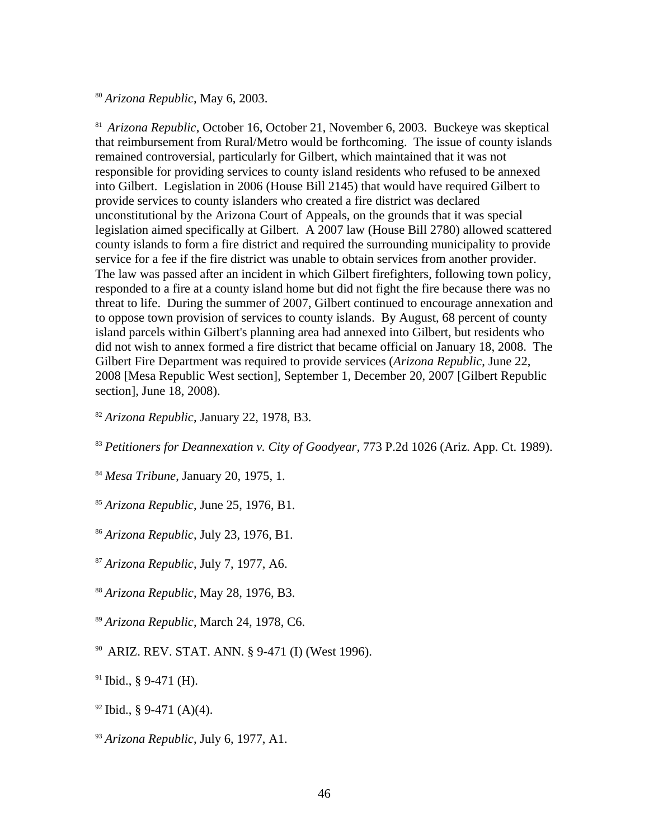<sup>80</sup> *Arizona Republic*, May 6, 2003.

81 *Arizona Republic*, October 16, October 21, November 6, 2003. Buckeye was skeptical that reimbursement from Rural/Metro would be forthcoming. The issue of county islands remained controversial, particularly for Gilbert, which maintained that it was not responsible for providing services to county island residents who refused to be annexed into Gilbert. Legislation in 2006 (House Bill 2145) that would have required Gilbert to provide services to county islanders who created a fire district was declared unconstitutional by the Arizona Court of Appeals, on the grounds that it was special legislation aimed specifically at Gilbert. A 2007 law (House Bill 2780) allowed scattered county islands to form a fire district and required the surrounding municipality to provide service for a fee if the fire district was unable to obtain services from another provider. The law was passed after an incident in which Gilbert firefighters, following town policy, responded to a fire at a county island home but did not fight the fire because there was no threat to life. During the summer of 2007, Gilbert continued to encourage annexation and to oppose town provision of services to county islands. By August, 68 percent of county island parcels within Gilbert's planning area had annexed into Gilbert, but residents who did not wish to annex formed a fire district that became official on January 18, 2008. The Gilbert Fire Department was required to provide services (*Arizona Republic*, June 22, 2008 [Mesa Republic West section], September 1, December 20, 2007 [Gilbert Republic section], June 18, 2008).

<sup>82</sup> *Arizona Republic*, January 22, 1978, B3.

<sup>83</sup> *Petitioners for Deannexation v. City of Goodyear,* 773 P.2d 1026 (Ariz. App. Ct. 1989).

<sup>84</sup> *Mesa Tribune*, January 20, 1975, 1.

<sup>85</sup> *Arizona Republic*, June 25, 1976, B1.

<sup>86</sup> *Arizona Republic*, July 23, 1976, B1.

<sup>87</sup> *Arizona Republic*, July 7, 1977, A6.

<sup>88</sup> *Arizona Republic*, May 28, 1976, B3.

<sup>89</sup> *Arizona Republic*, March 24, 1978, C6.

90 ARIZ. REV. STAT. ANN. § 9-471 (I) (West 1996).

 $91$  Ibid., § 9-471 (H).

 $92$  Ibid., § 9-471 (A)(4).

<sup>93</sup> *Arizona Republic*, July 6, 1977, A1.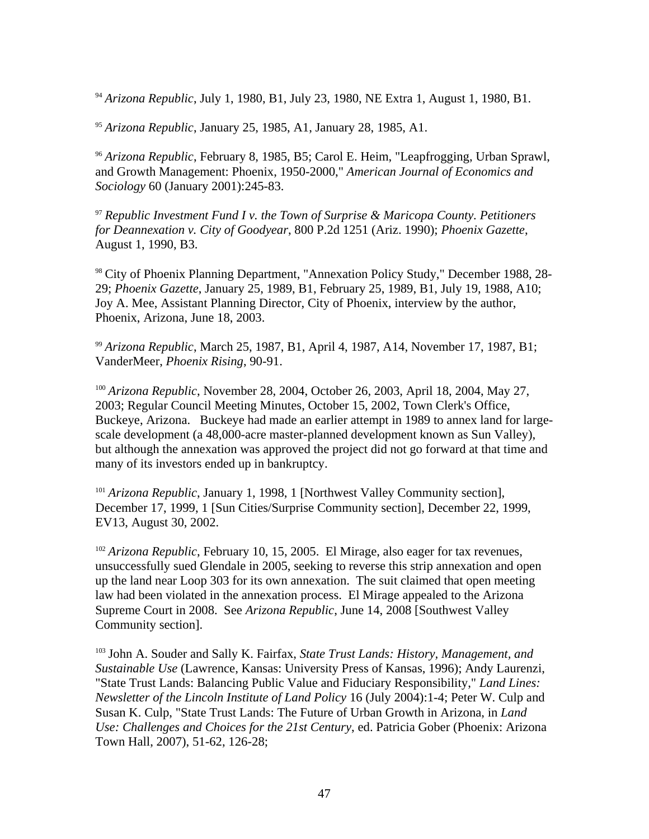<sup>94</sup> *Arizona Republic*, July 1, 1980, B1, July 23, 1980, NE Extra 1, August 1, 1980, B1.

<sup>95</sup> *Arizona Republic*, January 25, 1985, A1, January 28, 1985, A1.

<sup>96</sup> *Arizona Republic*, February 8, 1985, B5; Carol E. Heim, "Leapfrogging, Urban Sprawl, and Growth Management: Phoenix, 1950-2000," *American Journal of Economics and Sociology* 60 (January 2001):245-83.

<sup>97</sup> *Republic Investment Fund I v. the Town of Surprise & Maricopa County. Petitioners for Deannexation v. City of Goodyear*, 800 P.2d 1251 (Ariz. 1990); *Phoenix Gazette*, August 1, 1990, B3.

<sup>98</sup> City of Phoenix Planning Department, "Annexation Policy Study," December 1988, 28- 29; *Phoenix Gazette*, January 25, 1989, B1, February 25, 1989, B1, July 19, 1988, A10; Joy A. Mee, Assistant Planning Director, City of Phoenix, interview by the author, Phoenix, Arizona, June 18, 2003.

<sup>99</sup> *Arizona Republic*, March 25, 1987, B1, April 4, 1987, A14, November 17, 1987, B1; VanderMeer, *Phoenix Rising*, 90-91.

<sup>100</sup> *Arizona Republic*, November 28, 2004, October 26, 2003, April 18, 2004, May 27, 2003; Regular Council Meeting Minutes, October 15, 2002, Town Clerk's Office, Buckeye, Arizona. Buckeye had made an earlier attempt in 1989 to annex land for largescale development (a 48,000-acre master-planned development known as Sun Valley), but although the annexation was approved the project did not go forward at that time and many of its investors ended up in bankruptcy.

<sup>101</sup> *Arizona Republic*, January 1, 1998, 1 [Northwest Valley Community section], December 17, 1999, 1 [Sun Cities/Surprise Community section], December 22, 1999, EV13, August 30, 2002.

<sup>102</sup> *Arizona Republic*, February 10, 15, 2005. El Mirage, also eager for tax revenues, unsuccessfully sued Glendale in 2005, seeking to reverse this strip annexation and open up the land near Loop 303 for its own annexation. The suit claimed that open meeting law had been violated in the annexation process. El Mirage appealed to the Arizona Supreme Court in 2008. See *Arizona Republic*, June 14, 2008 [Southwest Valley Community section].

<sup>103</sup> John A. Souder and Sally K. Fairfax, *State Trust Lands: History, Management, and Sustainable Use* (Lawrence, Kansas: University Press of Kansas, 1996); Andy Laurenzi, "State Trust Lands: Balancing Public Value and Fiduciary Responsibility," *Land Lines: Newsletter of the Lincoln Institute of Land Policy* 16 (July 2004):1-4; Peter W. Culp and Susan K. Culp, "State Trust Lands: The Future of Urban Growth in Arizona, in *Land Use: Challenges and Choices for the 21st Century*, ed. Patricia Gober (Phoenix: Arizona Town Hall, 2007), 51-62, 126-28;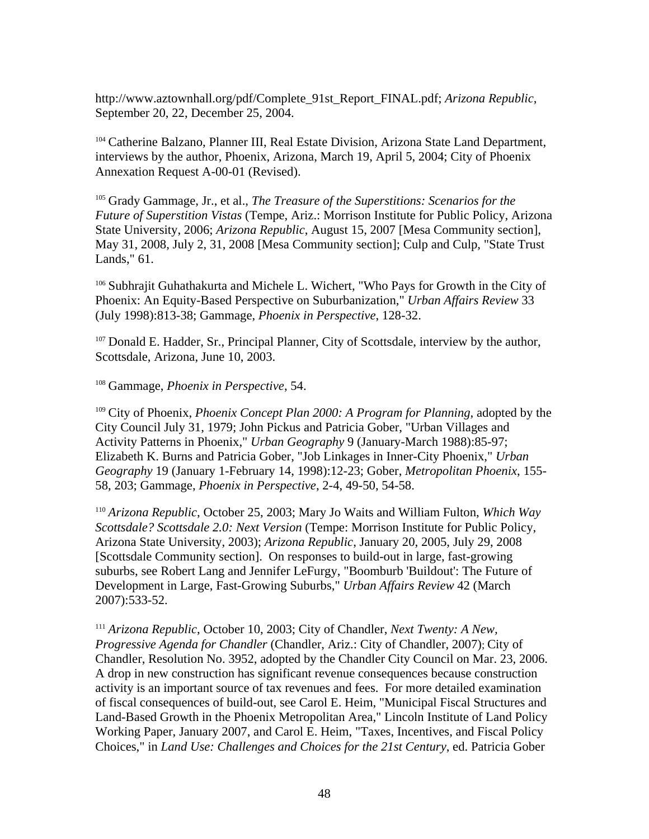http://www.aztownhall.org/pdf/Complete\_91st\_Report\_FINAL.pdf; *Arizona Republic*, September 20, 22, December 25, 2004.

<sup>104</sup> Catherine Balzano, Planner III, Real Estate Division, Arizona State Land Department, interviews by the author, Phoenix, Arizona, March 19, April 5, 2004; City of Phoenix Annexation Request A-00-01 (Revised).

<sup>105</sup> Grady Gammage, Jr., et al., *The Treasure of the Superstitions: Scenarios for the Future of Superstition Vistas* (Tempe, Ariz.: Morrison Institute for Public Policy, Arizona State University, 2006; *Arizona Republic*, August 15, 2007 [Mesa Community section], May 31, 2008, July 2, 31, 2008 [Mesa Community section]; Culp and Culp, "State Trust Lands," 61.

<sup>106</sup> Subhrajit Guhathakurta and Michele L. Wichert, "Who Pays for Growth in the City of Phoenix: An Equity-Based Perspective on Suburbanization," *Urban Affairs Review* 33 (July 1998):813-38; Gammage, *Phoenix in Perspective*, 128-32.

<sup>107</sup> Donald E. Hadder, Sr., Principal Planner, City of Scottsdale, interview by the author, Scottsdale, Arizona, June 10, 2003.

<sup>108</sup> Gammage, *Phoenix in Perspective*, 54.

<sup>109</sup> City of Phoenix, *Phoenix Concept Plan 2000: A Program for Planning*, adopted by the City Council July 31, 1979; John Pickus and Patricia Gober, "Urban Villages and Activity Patterns in Phoenix," *Urban Geography* 9 (January-March 1988):85-97; Elizabeth K. Burns and Patricia Gober, "Job Linkages in Inner-City Phoenix," *Urban Geography* 19 (January 1-February 14, 1998):12-23; Gober, *Metropolitan Phoenix*, 155- 58, 203; Gammage, *Phoenix in Perspective*, 2-4, 49-50, 54-58.

<sup>110</sup> *Arizona Republic*, October 25, 2003; Mary Jo Waits and William Fulton, *Which Way Scottsdale? Scottsdale 2.0: Next Version* (Tempe: Morrison Institute for Public Policy, Arizona State University, 2003); *Arizona Republic*, January 20, 2005, July 29, 2008 [Scottsdale Community section]. On responses to build-out in large, fast-growing suburbs, see Robert Lang and Jennifer LeFurgy, "Boomburb 'Buildout': The Future of Development in Large, Fast-Growing Suburbs," *Urban Affairs Review* 42 (March 2007):533-52.

<sup>111</sup> *Arizona Republic*, October 10, 2003; City of Chandler, *Next Twenty: A New, Progressive Agenda for Chandler* (Chandler, Ariz.: City of Chandler, 2007); City of Chandler, Resolution No. 3952, adopted by the Chandler City Council on Mar. 23, 2006. A drop in new construction has significant revenue consequences because construction activity is an important source of tax revenues and fees. For more detailed examination of fiscal consequences of build-out, see Carol E. Heim, "Municipal Fiscal Structures and Land-Based Growth in the Phoenix Metropolitan Area," Lincoln Institute of Land Policy Working Paper, January 2007, and Carol E. Heim, "Taxes, Incentives, and Fiscal Policy Choices," in *Land Use: Challenges and Choices for the 21st Century*, ed. Patricia Gober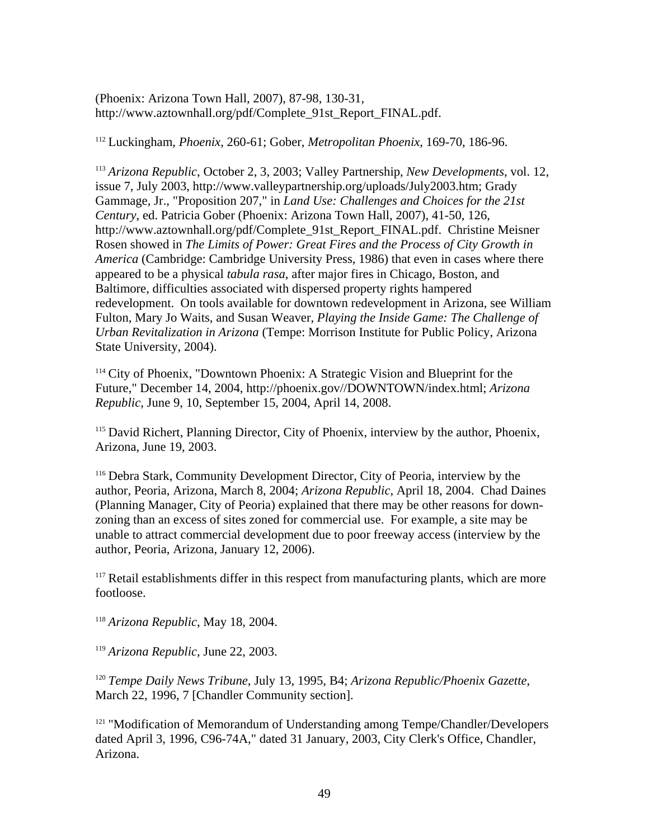(Phoenix: Arizona Town Hall, 2007), 87-98, 130-31, http://www.aztownhall.org/pdf/Complete\_91st\_Report\_FINAL.pdf.

<sup>112</sup> Luckingham, *Phoenix*, 260-61; Gober, *Metropolitan Phoenix*, 169-70, 186-96.

<sup>113</sup> *Arizona Republic*, October 2, 3, 2003; Valley Partnership, *New Developments*, vol. 12, issue 7, July 2003, http://www.valleypartnership.org/uploads/July2003.htm; Grady Gammage, Jr., "Proposition 207," in *Land Use: Challenges and Choices for the 21st Century*, ed. Patricia Gober (Phoenix: Arizona Town Hall, 2007), 41-50, 126, http://www.aztownhall.org/pdf/Complete\_91st\_Report\_FINAL.pdf. Christine Meisner Rosen showed in *The Limits of Power: Great Fires and the Process of City Growth in America* (Cambridge: Cambridge University Press, 1986) that even in cases where there appeared to be a physical *tabula rasa*, after major fires in Chicago, Boston, and Baltimore, difficulties associated with dispersed property rights hampered redevelopment. On tools available for downtown redevelopment in Arizona, see William Fulton, Mary Jo Waits, and Susan Weaver, *Playing the Inside Game: The Challenge of Urban Revitalization in Arizona* (Tempe: Morrison Institute for Public Policy, Arizona State University, 2004).

<sup>114</sup> City of Phoenix, "Downtown Phoenix: A Strategic Vision and Blueprint for the Future," December 14, 2004, http://phoenix.gov//DOWNTOWN/index.html; *Arizona Republic*, June 9, 10, September 15, 2004, April 14, 2008.

<sup>115</sup> David Richert, Planning Director, City of Phoenix, interview by the author, Phoenix, Arizona, June 19, 2003.

<sup>116</sup> Debra Stark, Community Development Director, City of Peoria, interview by the author, Peoria, Arizona, March 8, 2004; *Arizona Republic*, April 18, 2004. Chad Daines (Planning Manager, City of Peoria) explained that there may be other reasons for downzoning than an excess of sites zoned for commercial use. For example, a site may be unable to attract commercial development due to poor freeway access (interview by the author, Peoria, Arizona, January 12, 2006).

<sup>117</sup> Retail establishments differ in this respect from manufacturing plants, which are more footloose.

<sup>118</sup> *Arizona Republic*, May 18, 2004.

<sup>119</sup> *Arizona Republic*, June 22, 2003.

<sup>120</sup> *Tempe Daily News Tribune*, July 13, 1995, B4; *Arizona Republic/Phoenix Gazette*, March 22, 1996, 7 [Chandler Community section].

<sup>121</sup> "Modification of Memorandum of Understanding among Tempe/Chandler/Developers dated April 3, 1996, C96-74A," dated 31 January, 2003, City Clerk's Office, Chandler, Arizona.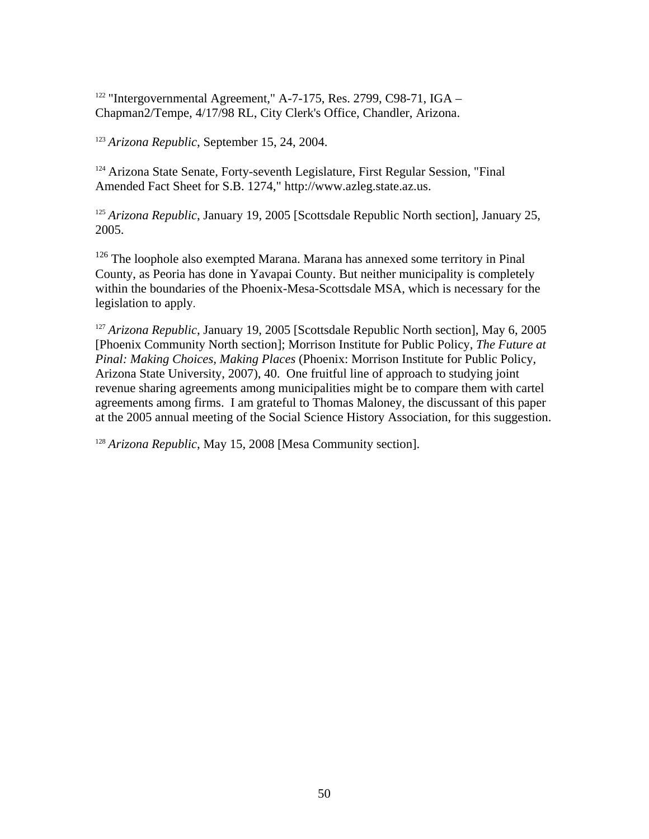$122$  "Intergovernmental Agreement," A-7-175, Res. 2799, C98-71, IGA – Chapman2/Tempe, 4/17/98 RL, City Clerk's Office, Chandler, Arizona.

<sup>123</sup> *Arizona Republic*, September 15, 24, 2004.

<sup>124</sup> Arizona State Senate, Forty-seventh Legislature, First Regular Session, "Final Amended Fact Sheet for S.B. 1274," http://www.azleg.state.az.us.

<sup>125</sup> *Arizona Republic*, January 19, 2005 [Scottsdale Republic North section], January 25, 2005.

<sup>126</sup> The loophole also exempted Marana. Marana has annexed some territory in Pinal County, as Peoria has done in Yavapai County. But neither municipality is completely within the boundaries of the Phoenix-Mesa-Scottsdale MSA, which is necessary for the legislation to apply.

<sup>127</sup> *Arizona Republic*, January 19, 2005 [Scottsdale Republic North section], May 6, 2005 [Phoenix Community North section]; Morrison Institute for Public Policy, *The Future at Pinal: Making Choices, Making Places* (Phoenix: Morrison Institute for Public Policy, Arizona State University, 2007), 40. One fruitful line of approach to studying joint revenue sharing agreements among municipalities might be to compare them with cartel agreements among firms. I am grateful to Thomas Maloney, the discussant of this paper at the 2005 annual meeting of the Social Science History Association, for this suggestion.

<sup>128</sup> *Arizona Republic*, May 15, 2008 [Mesa Community section].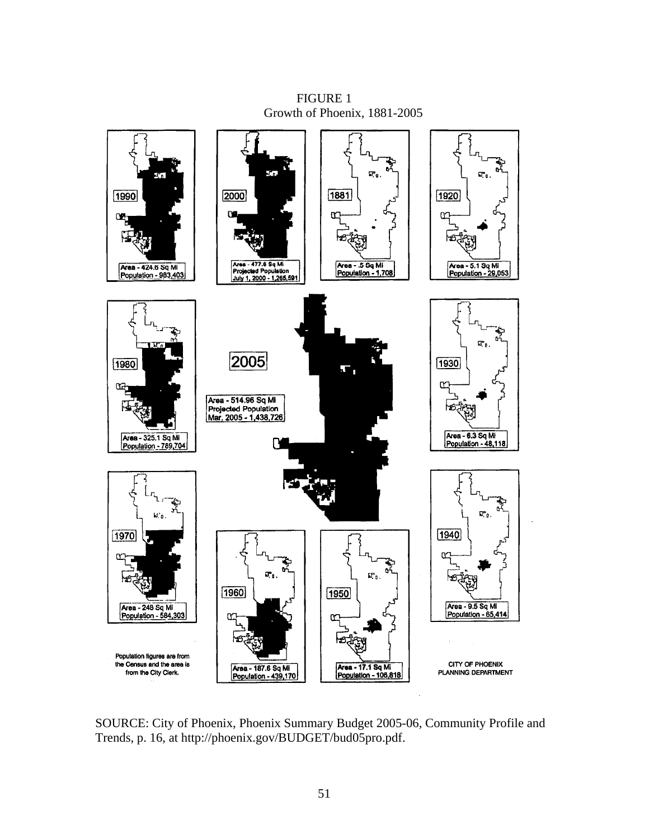FIGURE 1 Growth of Phoenix, 1881-2005



SOURCE: City of Phoenix, Phoenix Summary Budget 2005-06, Community Profile and Trends, p. 16, at http://phoenix.gov/BUDGET/bud05pro.pdf.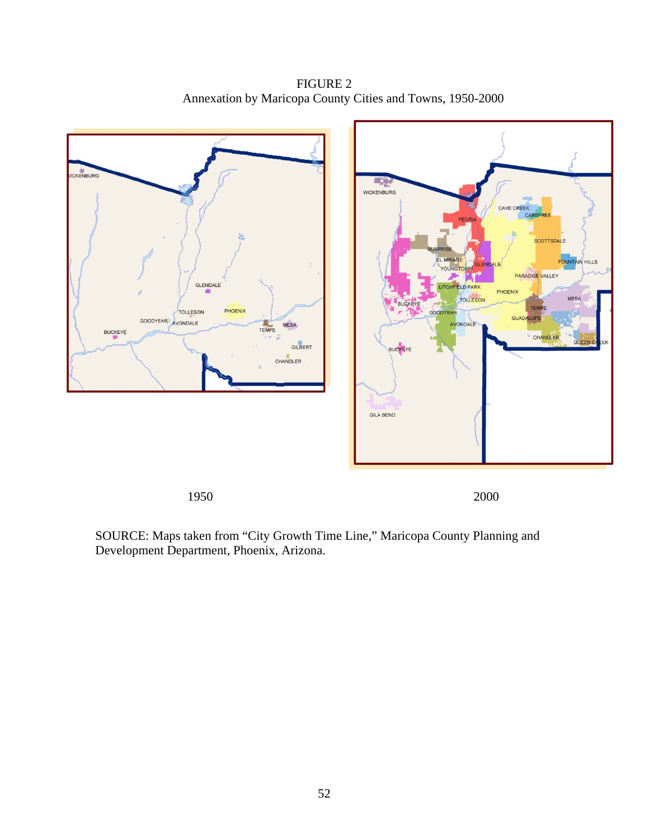FIGURE 2 Annexation by Maricopa County Cities and Towns, 1950-2000



SOURCE: Maps taken from "City Growth Time Line," Maricopa County Planning and Development Department, Phoenix, Arizona.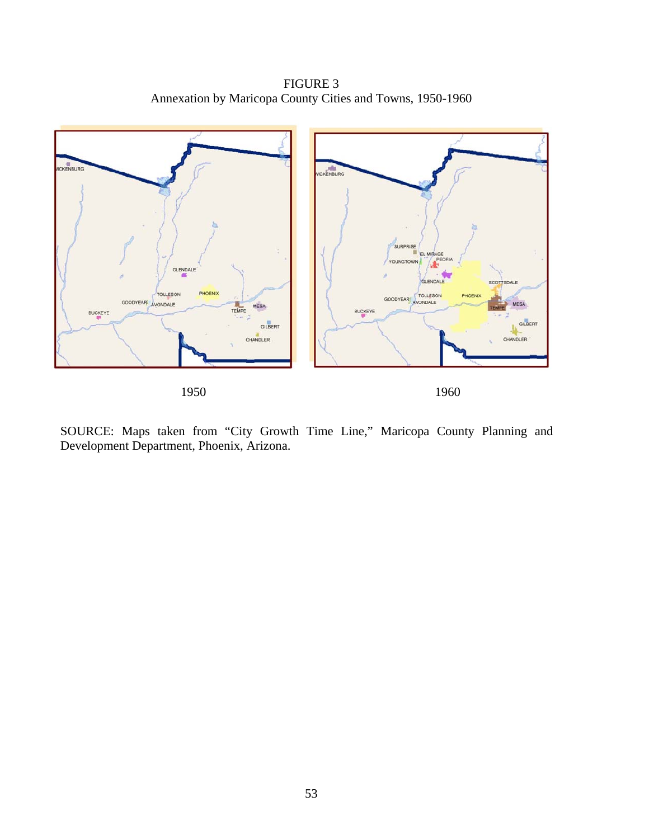FIGURE 3 Annexation by Maricopa County Cities and Towns, 1950-1960



SOURCE: Maps taken from "City Growth Time Line," Maricopa County Planning and Development Department, Phoenix, Arizona.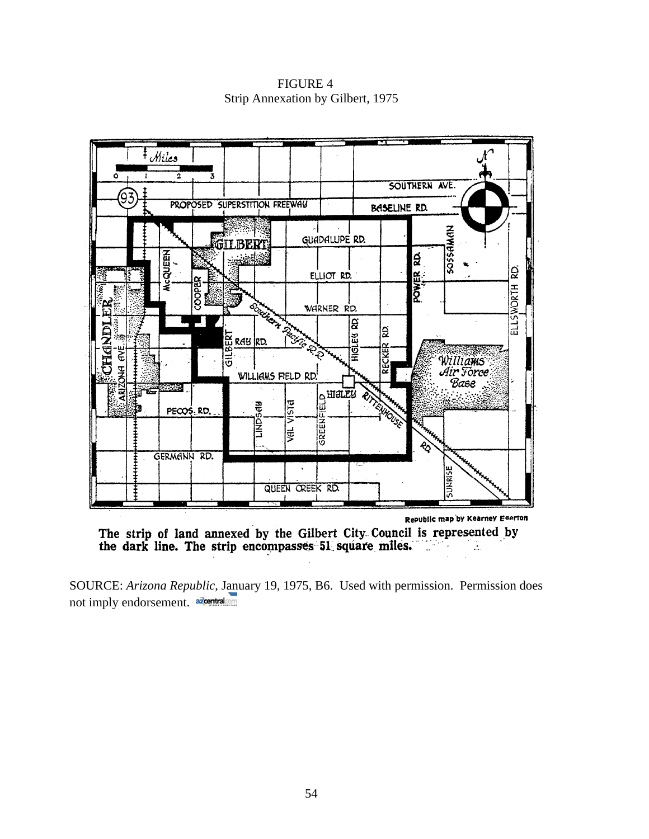FIGURE 4 Strip Annexation by Gilbert, 1975



The strip of land annexed by the Gilbert City Council is represented by the dark line. The strip encompasses 51 square miles.

SOURCE: *Arizona Republic*[, Janu](http://www.azcentral.com/)ary 19, 1975, B6. Used with permission. Permission does not imply endorsement. azientralcom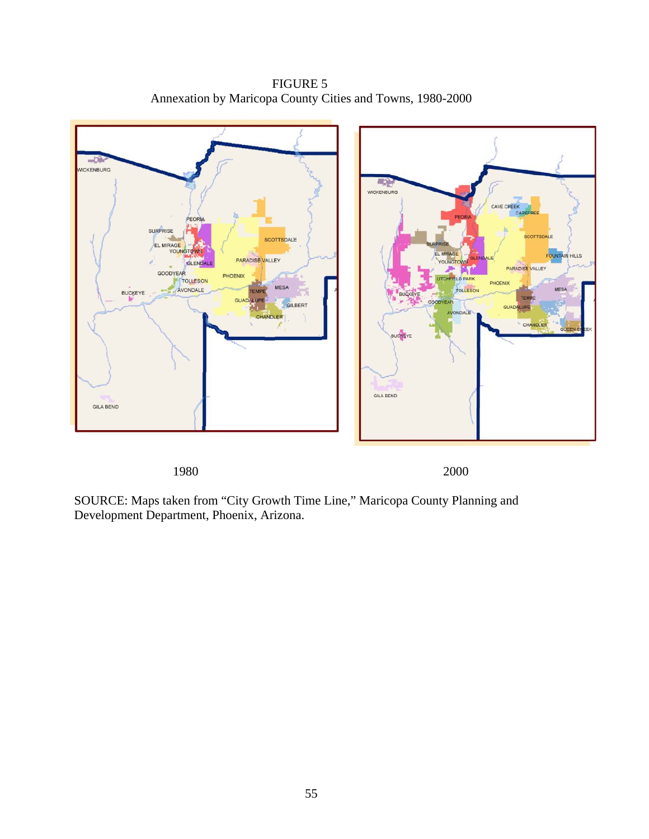FIGURE 5 Annexation by Maricopa County Cities and Towns, 1980-2000



1980 2000

SOURCE: Maps taken from "City Growth Time Line," Maricopa County Planning and Development Department, Phoenix, Arizona.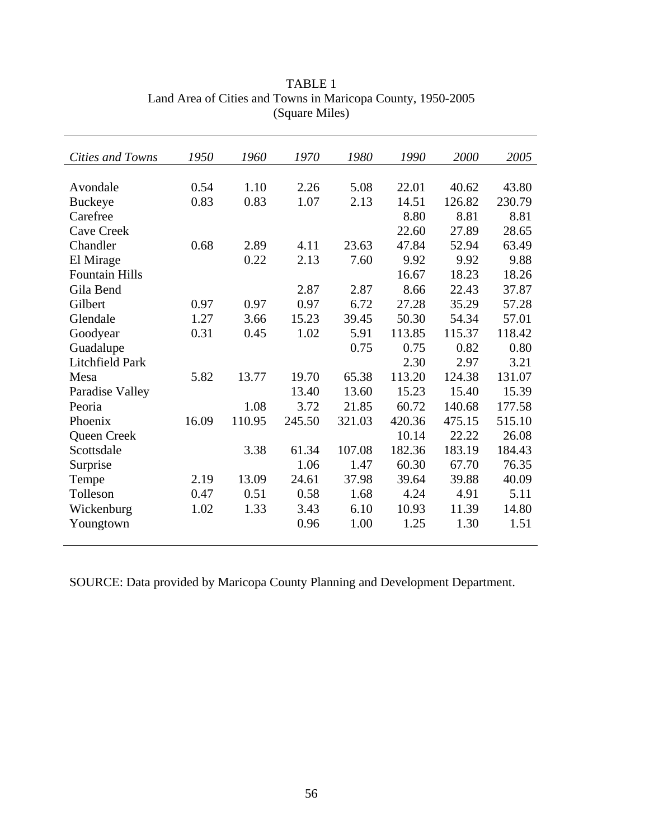| Cities and Towns       | 1950  | 1960   | 1970   | 1980   | 1990   | 2000   | 2005   |
|------------------------|-------|--------|--------|--------|--------|--------|--------|
|                        |       |        |        |        |        |        |        |
| Avondale               | 0.54  | 1.10   | 2.26   | 5.08   | 22.01  | 40.62  | 43.80  |
| <b>Buckeye</b>         | 0.83  | 0.83   | 1.07   | 2.13   | 14.51  | 126.82 | 230.79 |
| Carefree               |       |        |        |        | 8.80   | 8.81   | 8.81   |
| <b>Cave Creek</b>      |       |        |        |        | 22.60  | 27.89  | 28.65  |
| Chandler               | 0.68  | 2.89   | 4.11   | 23.63  | 47.84  | 52.94  | 63.49  |
| El Mirage              |       | 0.22   | 2.13   | 7.60   | 9.92   | 9.92   | 9.88   |
| <b>Fountain Hills</b>  |       |        |        |        | 16.67  | 18.23  | 18.26  |
| Gila Bend              |       |        | 2.87   | 2.87   | 8.66   | 22.43  | 37.87  |
| Gilbert                | 0.97  | 0.97   | 0.97   | 6.72   | 27.28  | 35.29  | 57.28  |
| Glendale               | 1.27  | 3.66   | 15.23  | 39.45  | 50.30  | 54.34  | 57.01  |
| Goodyear               | 0.31  | 0.45   | 1.02   | 5.91   | 113.85 | 115.37 | 118.42 |
| Guadalupe              |       |        |        | 0.75   | 0.75   | 0.82   | 0.80   |
| <b>Litchfield Park</b> |       |        |        |        | 2.30   | 2.97   | 3.21   |
| Mesa                   | 5.82  | 13.77  | 19.70  | 65.38  | 113.20 | 124.38 | 131.07 |
| Paradise Valley        |       |        | 13.40  | 13.60  | 15.23  | 15.40  | 15.39  |
| Peoria                 |       | 1.08   | 3.72   | 21.85  | 60.72  | 140.68 | 177.58 |
| Phoenix                | 16.09 | 110.95 | 245.50 | 321.03 | 420.36 | 475.15 | 515.10 |
| Queen Creek            |       |        |        |        | 10.14  | 22.22  | 26.08  |
| Scottsdale             |       | 3.38   | 61.34  | 107.08 | 182.36 | 183.19 | 184.43 |
| Surprise               |       |        | 1.06   | 1.47   | 60.30  | 67.70  | 76.35  |
| Tempe                  | 2.19  | 13.09  | 24.61  | 37.98  | 39.64  | 39.88  | 40.09  |
| Tolleson               | 0.47  | 0.51   | 0.58   | 1.68   | 4.24   | 4.91   | 5.11   |
| Wickenburg             | 1.02  | 1.33   | 3.43   | 6.10   | 10.93  | 11.39  | 14.80  |
| Youngtown              |       |        | 0.96   | 1.00   | 1.25   | 1.30   | 1.51   |
|                        |       |        |        |        |        |        |        |

TABLE 1 Land Area of Cities and Towns in Maricopa County, 1950-2005 (Square Miles)

SOURCE: Data provided by Maricopa County Planning and Development Department.